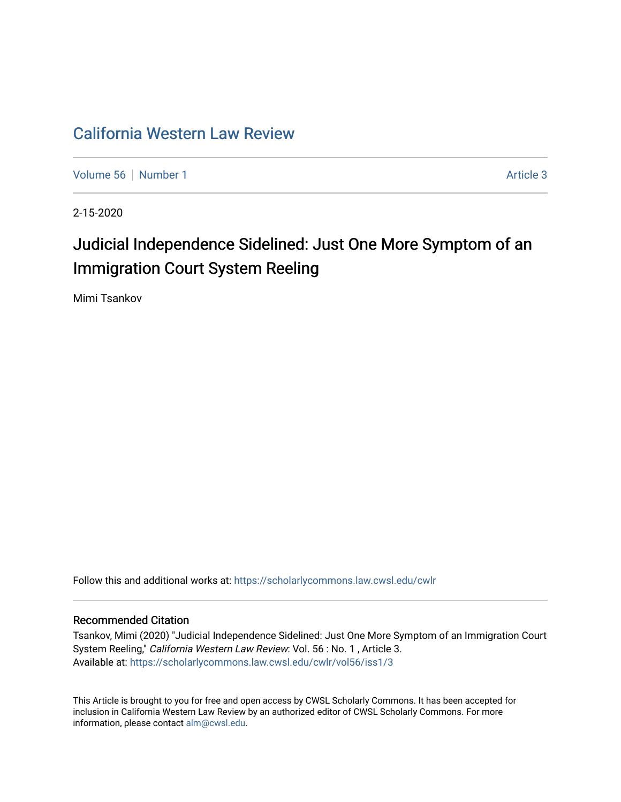## [California Western Law Review](https://scholarlycommons.law.cwsl.edu/cwlr)

[Volume 56](https://scholarlycommons.law.cwsl.edu/cwlr/vol56) [Number 1](https://scholarlycommons.law.cwsl.edu/cwlr/vol56/iss1) Article 3

2-15-2020

# Judicial Independence Sidelined: Just One More Symptom of an Immigration Court System Reeling

Mimi Tsankov

Follow this and additional works at: [https://scholarlycommons.law.cwsl.edu/cwlr](https://scholarlycommons.law.cwsl.edu/cwlr?utm_source=scholarlycommons.law.cwsl.edu%2Fcwlr%2Fvol56%2Fiss1%2F3&utm_medium=PDF&utm_campaign=PDFCoverPages)

#### Recommended Citation

Tsankov, Mimi (2020) "Judicial Independence Sidelined: Just One More Symptom of an Immigration Court System Reeling," California Western Law Review: Vol. 56 : No. 1 , Article 3. Available at: [https://scholarlycommons.law.cwsl.edu/cwlr/vol56/iss1/3](https://scholarlycommons.law.cwsl.edu/cwlr/vol56/iss1/3?utm_source=scholarlycommons.law.cwsl.edu%2Fcwlr%2Fvol56%2Fiss1%2F3&utm_medium=PDF&utm_campaign=PDFCoverPages) 

This Article is brought to you for free and open access by CWSL Scholarly Commons. It has been accepted for inclusion in California Western Law Review by an authorized editor of CWSL Scholarly Commons. For more information, please contact [alm@cwsl.edu](mailto:alm@cwsl.edu).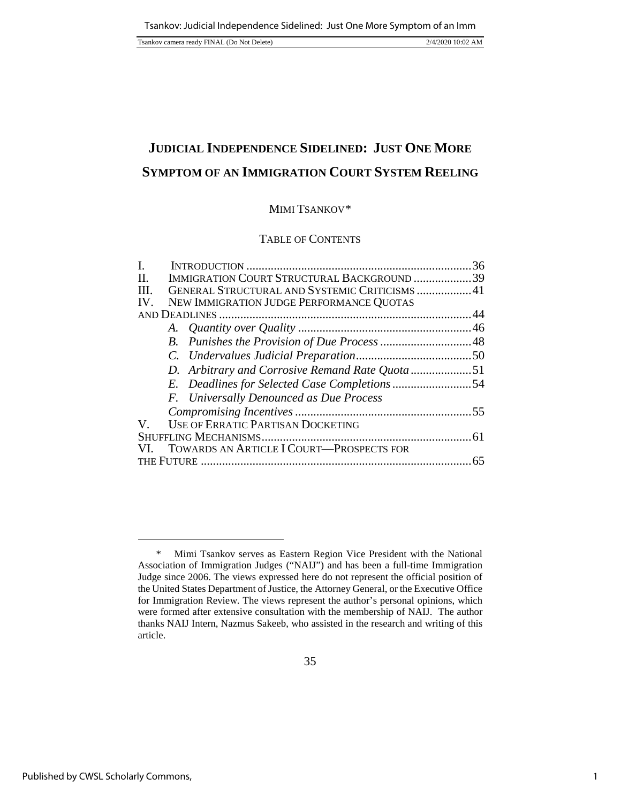## **JUDICIAL INDEPENDENCE SIDELINED: JUST ONE MORE SYMPTOM OF AN IMMIGRATION COURT SYSTEM REELING**

## MIMI TSANKOV[\\*](#page-1-0)

## TABLE OF CONTENTS

| I.   |                                                 | 36 |
|------|-------------------------------------------------|----|
| II.  | IMMIGRATION COURT STRUCTURAL BACKGROUND 39      |    |
| III. | GENERAL STRUCTURAL AND SYSTEMIC CRITICISMS 41   |    |
| IV.  | NEW IMMIGRATION JUDGE PERFORMANCE QUOTAS        |    |
|      |                                                 |    |
|      |                                                 |    |
|      |                                                 |    |
|      |                                                 |    |
|      | D. Arbitrary and Corrosive Remand Rate Quota 51 |    |
|      |                                                 |    |
|      | F. Universally Denounced as Due Process         |    |
|      |                                                 |    |
| V    | <b>USE OF ERRATIC PARTISAN DOCKETING</b>        |    |
|      |                                                 |    |
| VI.  | TOWARDS AN ARTICLE I COURT—PROSPECTS FOR        |    |
|      |                                                 | 65 |
|      |                                                 |    |

<span id="page-1-0"></span><sup>\*</sup> Mimi Tsankov serves as Eastern Region Vice President with the National Association of Immigration Judges ("NAIJ") and has been a full-time Immigration Judge since 2006. The views expressed here do not represent the official position of the United States Department of Justice, the Attorney General, or the Executive Office for Immigration Review. The views represent the author's personal opinions, which were formed after extensive consultation with the membership of NAIJ. The author thanks NAIJ Intern, Nazmus Sakeeb, who assisted in the research and writing of this article.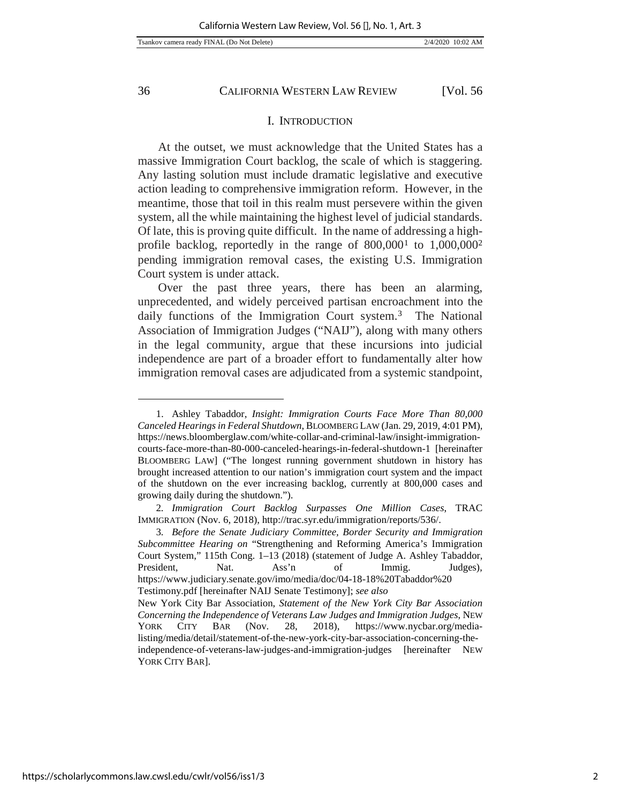l

36 CALIFORNIA WESTERN LAW REVIEW [Vol. 56

#### I. INTRODUCTION

At the outset, we must acknowledge that the United States has a massive Immigration Court backlog, the scale of which is staggering. Any lasting solution must include dramatic legislative and executive action leading to comprehensive immigration reform. However, in the meantime, those that toil in this realm must persevere within the given system, all the while maintaining the highest level of judicial standards. Of late, this is proving quite difficult. In the name of addressing a highprofile backlog, reportedly in the range of  $800,000<sup>1</sup>$  $800,000<sup>1</sup>$  $800,000<sup>1</sup>$  to  $1,000,000<sup>2</sup>$  $1,000,000<sup>2</sup>$  $1,000,000<sup>2</sup>$ pending immigration removal cases, the existing U.S. Immigration Court system is under attack.

Over the past three years, there has been an alarming, unprecedented, and widely perceived partisan encroachment into the daily functions of the Immigration Court system.<sup>3</sup> The National Association of Immigration Judges ("NAIJ"), along with many others in the legal community, argue that these incursions into judicial independence are part of a broader effort to fundamentally alter how immigration removal cases are adjudicated from a systemic standpoint,

<span id="page-2-0"></span><sup>1.</sup> Ashley Tabaddor, *Insight: Immigration Courts Face More Than 80,000 Canceled Hearings in Federal Shutdown*, BLOOMBERG LAW (Jan. 29, 2019, 4:01 PM), [https://news.bloomberglaw.com/white-collar-and-criminal-law/insight-immigration](https://news.bloomberglaw.com/white-collar-and-criminal-law/insight-immigration-courts-face-more-than-80-000-canceled-hearings-in-federal-shutdown-1)[courts-face-more-than-80-000-canceled-hearings-in-federal-shutdown-1](https://news.bloomberglaw.com/white-collar-and-criminal-law/insight-immigration-courts-face-more-than-80-000-canceled-hearings-in-federal-shutdown-1) [hereinafter BLOOMBERG LAW] ("The longest running government shutdown in history has brought increased attention to our nation's immigration court system and the impact of the shutdown on the ever increasing backlog, currently at 800,000 cases and growing daily during the shutdown.").

<span id="page-2-1"></span><sup>2</sup>*. Immigration Court Backlog Surpasses One Million Cases*, TRAC IMMIGRATION (Nov. 6, 2018)[, http://trac.syr.edu/immigration/reports/536/.](http://trac.syr.edu/immigration/reports/536/)

<span id="page-2-2"></span><sup>3</sup>*. Before the Senate Judiciary Committee, Border Security and Immigration Subcommittee Hearing on* "Strengthening and Reforming America's Immigration Court System," 115th Cong. 1–13 (2018) (statement of Judge A. Ashley Tabaddor, President, Nat. Ass'n of Immig. Judges), https://www.judiciary.senate.gov/imo/media/doc/04-18-18%20Tabaddor%20 Testimony.pdf [hereinafter NAIJ Senate Testimony]; *see also*

New York City Bar Association, *Statement of the New York City Bar Association Concerning the Independence of Veterans Law Judges and Immigration Judges*, NEW YORK CITY BAR (Nov. 28, 2018), [https://www.nycbar.org/media](https://www.nycbar.org/media-listing/media/detail/statement-of-the-new-york-city-bar-association-concerning-the-independence-of-veterans-law-judges-and-immigration-judges)[listing/media/detail/statement-of-the-new-york-city-bar-association-concerning-the](https://www.nycbar.org/media-listing/media/detail/statement-of-the-new-york-city-bar-association-concerning-the-independence-of-veterans-law-judges-and-immigration-judges)[independence-of-veterans-law-judges-and-immigration-judges](https://www.nycbar.org/media-listing/media/detail/statement-of-the-new-york-city-bar-association-concerning-the-independence-of-veterans-law-judges-and-immigration-judges) [hereinafter NEW YORK CITY BAR].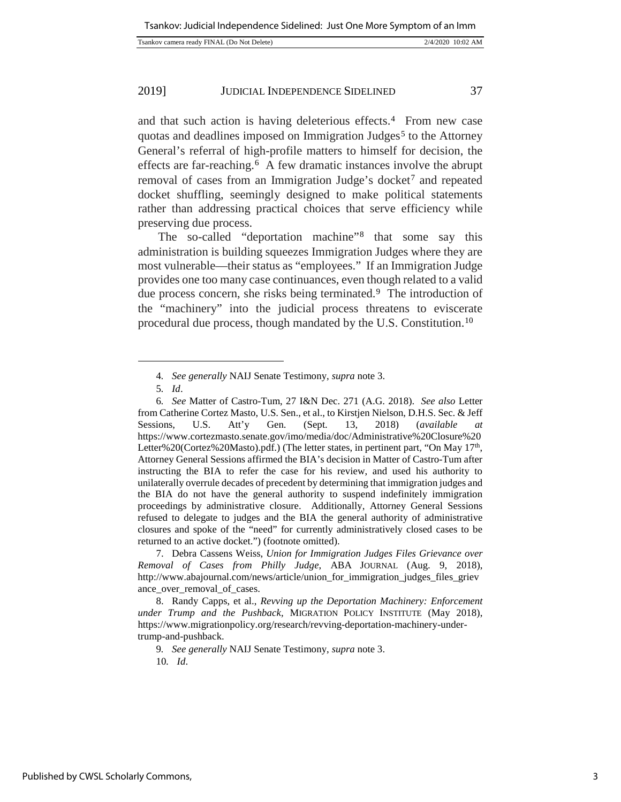|  | Tsankov camera ready FINAL (Do Not Delete) |  | 2/4/2020 10:02 AM |
|--|--------------------------------------------|--|-------------------|
|--|--------------------------------------------|--|-------------------|

and that such action is having deleterious effects.[4](#page-3-0) From new case quotas and deadlines imposed on Immigration Judges<sup>[5](#page-3-1)</sup> to the Attorney General's referral of high-profile matters to himself for decision, the effects are far-reaching.[6](#page-3-2) A few dramatic instances involve the abrupt removal of cases from an Immigration Judge's docket<sup>[7](#page-3-3)</sup> and repeated docket shuffling, seemingly designed to make political statements rather than addressing practical choices that serve efficiency while preserving due process.

The so-called "deportation machine"[8](#page-3-4) that some say this administration is building squeezes Immigration Judges where they are most vulnerable—their status as "employees." If an Immigration Judge provides one too many case continuances, even though related to a valid due process concern, she risks being terminated.<sup>[9](#page-3-5)</sup> The introduction of the "machinery" into the judicial process threatens to eviscerate procedural due process, though mandated by the U.S. Constitution.[10](#page-3-6)

l

<span id="page-3-3"></span>7. Debra Cassens Weiss, *Union for Immigration Judges Files Grievance over Removal of Cases from Philly Judge*, ABA JOURNAL (Aug. 9, 2018), http://www.abajournal.com/news/article/union\_for\_immigration\_judges\_files\_griev ance\_over\_removal\_of\_cases.

<span id="page-3-6"></span><span id="page-3-5"></span><span id="page-3-4"></span>8. [Randy Capps,](https://www.migrationpolicy.org/about/staff/randy-capps) et al., *Revving up the Deportation Machinery: Enforcement under Trump and the Pushback,* MIGRATION POLICY INSTITUTE (May 2018), [https://www.migrationpolicy.org/research/revving-deportation-machinery-under](https://www.migrationpolicy.org/research/revving-deportation-machinery-under-trump-and-pushback)[trump-and-pushback.](https://www.migrationpolicy.org/research/revving-deportation-machinery-under-trump-and-pushback)

9*. See generally* NAIJ Senate Testimony, *supra* note 3.

10*. Id*.

<sup>4</sup>*. See generally* NAIJ Senate Testimony, *supra* note 3.

<sup>5</sup>*. Id*.

<span id="page-3-2"></span><span id="page-3-1"></span><span id="page-3-0"></span><sup>6</sup>*. See* Matter of Castro-Tum, 27 I&N Dec. 271 (A.G. 2018). *See also* Letter from Catherine Cortez Masto, U.S. Sen., et al., to Kirstjen Nielson, D.H.S. Sec. & Jeff Sessions, U.S. Att'y Gen. (Sept. 13, 2018) (*available at*  [https://www.cortezmasto.senate.gov/imo/media/doc/Administrative%20Closure%20](https://www.cortezmasto.senate.gov/imo/media/doc/Administrative%20Closure%20Letter%20(Cortez%20Masto).pdf) [Letter%20\(Cortez%20Masto\).pdf.](https://www.cortezmasto.senate.gov/imo/media/doc/Administrative%20Closure%20Letter%20(Cortez%20Masto).pdf)) (The letter states, in pertinent part, "On May 17<sup>th</sup>, Attorney General Sessions affirmed the BIA's decision in Matter of Castro-Tum after instructing the BIA to refer the case for his review, and used his authority to unilaterally overrule decades of precedent by determining that immigration judges and the BIA do not have the general authority to suspend indefinitely immigration proceedings by administrative closure. Additionally, Attorney General Sessions refused to delegate to judges and the BIA the general authority of administrative closures and spoke of the "need" for currently administratively closed cases to be returned to an active docket.") (footnote omitted).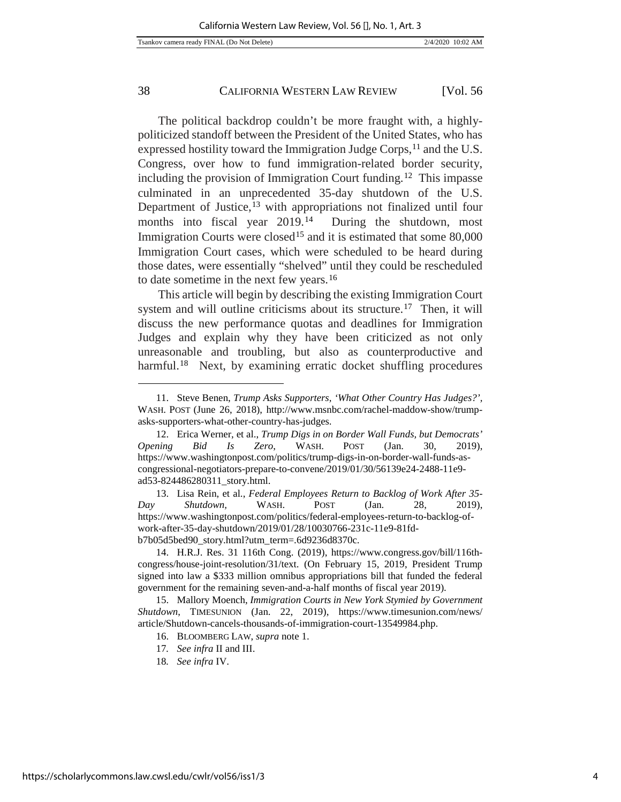The political backdrop couldn't be more fraught with, a highlypoliticized standoff between the President of the United States, who has expressed hostility toward the Immigration Judge Corps, <sup>[11](#page-4-0)</sup> and the U.S. Congress, over how to fund immigration-related border security, including the provision of Immigration Court funding.[12](#page-4-1) This impasse culminated in an unprecedented 35-day shutdown of the U.S. Department of Justice,<sup>[13](#page-4-2)</sup> with appropriations not finalized until four months into fiscal year 2019.<sup>14</sup> During the shutdown, most Immigration Courts were closed<sup>[15](#page-4-4)</sup> and it is estimated that some 80,000 Immigration Court cases, which were scheduled to be heard during those dates, were essentially "shelved" until they could be rescheduled to date sometime in the next few years.[16](#page-4-5)

This article will begin by describing the existing Immigration Court system and will outline criticisms about its structure.<sup>[17](#page-4-6)</sup> Then, it will discuss the new performance quotas and deadlines for Immigration Judges and explain why they have been criticized as not only unreasonable and troubling, but also as counterproductive and harmful.<sup>18</sup> Next, by examining erratic docket shuffling procedures

<span id="page-4-2"></span>13. Lisa Rein, et al., *Federal Employees Return to Backlog of Work After 35*- *Day Shutdown,* WASH. POST (Jan. 28, 2019), [https://www.washingtonpost.com/politics/federal-employees-return-to-backlog-of](https://www.washingtonpost.com/politics/federal-employees-return-to-backlog-of-work-after-35-day-shutdown/2019/01/28/10030766-231c-11e9-81fd-b7b05d5bed90_story.html?utm_term=.6d9236d8370c)[work-after-35-day-shutdown/2019/01/28/10030766-231c-11e9-81fd](https://www.washingtonpost.com/politics/federal-employees-return-to-backlog-of-work-after-35-day-shutdown/2019/01/28/10030766-231c-11e9-81fd-b7b05d5bed90_story.html?utm_term=.6d9236d8370c)[b7b05d5bed90\\_story.html?utm\\_term=.6d9236d8370c.](https://www.washingtonpost.com/politics/federal-employees-return-to-backlog-of-work-after-35-day-shutdown/2019/01/28/10030766-231c-11e9-81fd-b7b05d5bed90_story.html?utm_term=.6d9236d8370c)

<span id="page-4-3"></span>14. H.R.J. Res. 31 116th Cong. (2019), [https://www.congress.gov/bill/116th](https://www.congress.gov/bill/116th-congress/house-joint-resolution/31/text.)[congress/house-joint-resolution/31/text.](https://www.congress.gov/bill/116th-congress/house-joint-resolution/31/text.) (On February 15, 2019, President Trump signed into law [a \\$333 million omnibus appropriations bill t](https://www.congress.gov/bill/116th-congress/house-joint-resolution/31/text)hat funded the federal government for the remaining seven-and-a-half months of fiscal year 2019).

<span id="page-4-7"></span><span id="page-4-6"></span><span id="page-4-5"></span><span id="page-4-4"></span>15. [Mallory Moench,](https://www.timesunion.com/author/mallory-moench/) *Immigration Courts in New York Stymied by Government Shutdown*, TIMESUNION (Jan. 22, 2019), https://www.timesunion.com/news/ article/Shutdown-cancels-thousands-of-immigration-court-13549984.php.

- 16. BLOOMBERG LAW, *supra* note 1.
- 17*. See infra* II and III.
- 18*. See infra* IV.

<span id="page-4-0"></span><sup>11.</sup> Steve Benen, *Trump Asks Supporters, 'What Other Country Has Judges?',* WASH. POST (June 26, 2018), [http://www.msnbc.com/rachel-maddow-show/trump](http://www.msnbc.com/rachel-maddow-show/trump-asks-supporters-what-other-country-has-judges)[asks-supporters-what-other-country-has-judges.](http://www.msnbc.com/rachel-maddow-show/trump-asks-supporters-what-other-country-has-judges)

<span id="page-4-1"></span><sup>12.</sup> Erica Werner, et al., *Trump Digs in on Border Wall Funds, but Democrats' Opening Bid Is Zero*, WASH. POST (Jan. 30, 2019), https://www.washingtonpost.com/politics/trump-digs-in-on-border-wall-funds-ascongressional-negotiators-prepare-to-convene/2019/01/30/56139e24-2488-11e9 ad53-824486280311\_story.html.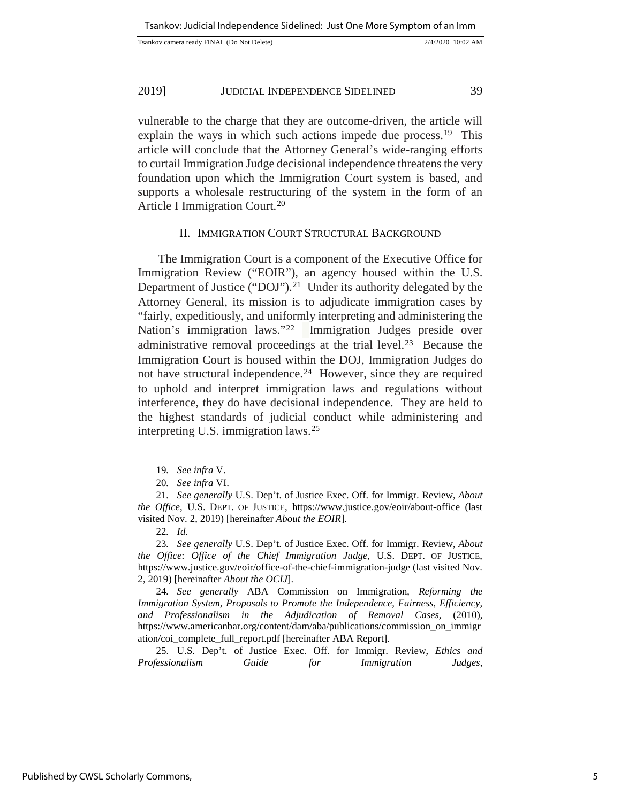| Tsankov camera ready FINAL (Do Not Delete) | 2/4/2020 10:02 AM |
|--------------------------------------------|-------------------|
|                                            |                   |

vulnerable to the charge that they are outcome-driven, the article will explain the ways in which such actions impede due process.<sup>19</sup> This article will conclude that the Attorney General's wide-ranging efforts to curtail Immigration Judge decisional independence threatens the very foundation upon which the Immigration Court system is based, and supports a wholesale restructuring of the system in the form of an Article I Immigration Court.[20](#page-5-1)

#### II. IMMIGRATION COURT STRUCTURAL BACKGROUND

The Immigration Court is a component of the Executive Office for Immigration Review ("EOIR"), an agency housed within the U.S. Department of Justice ("DOJ").<sup>21</sup> Under its authority delegated by the Attorney General, its mission is to adjudicate immigration cases by "fairly, expeditiously, and uniformly interpreting and administering the Nation's immigration laws."[22](#page-5-3) Immigration Judges preside over administrative removal proceedings at the trial level.[23](#page-5-4) Because the Immigration Court is housed within the DOJ, Immigration Judges do not have structural independence.[24](#page-5-5) However, since they are required to uphold and interpret immigration laws and regulations without interference, they do have decisional independence. They are held to the highest standards of judicial conduct while administering and interpreting U.S. immigration laws.[25](#page-5-6)

<span id="page-5-0"></span>l

<span id="page-5-6"></span>25. U.S. Dep't. of Justice Exec. Off. for Immigr. Review, *Ethics and Professionalism Guide for Immigration Judges*,

<sup>19</sup>*. See infra* V.

<sup>20</sup>*. See infra* VI.

<span id="page-5-2"></span><span id="page-5-1"></span><sup>21</sup>*. See generally* U.S. Dep't. of Justice Exec. Off. for Immigr. Review, *About the Office*, U.S. DEPT. OF JUSTICE, https://www.justice.gov/eoir/about-office (last visited Nov. 2, 2019) [hereinafter *About the EOIR*].

<sup>22</sup>*. Id*.

<span id="page-5-4"></span><span id="page-5-3"></span><sup>23</sup>*. See generally* U.S. Dep't. of Justice Exec. Off. for Immigr. Review, *About the Office*: *Office of the Chief Immigration Judge*, U.S. DEPT. OF JUSTICE, https://www.justice.gov/eoir/office-of-the-chief-immigration-judge (last visited Nov. 2, 2019) [hereinafter *About the OCIJ*].

<span id="page-5-5"></span><sup>24</sup>*. See generally* ABA Commission on Immigration, *Reforming the Immigration System, Proposals to Promote the Independence, Fairness, Efficiency, and Professionalism in the Adjudication of Removal Cases*, (2010), https://www.americanbar.org/content/dam/aba/publications/commission\_on\_immigr ation/coi\_complete\_full\_report.pdf [hereinafter ABA Report].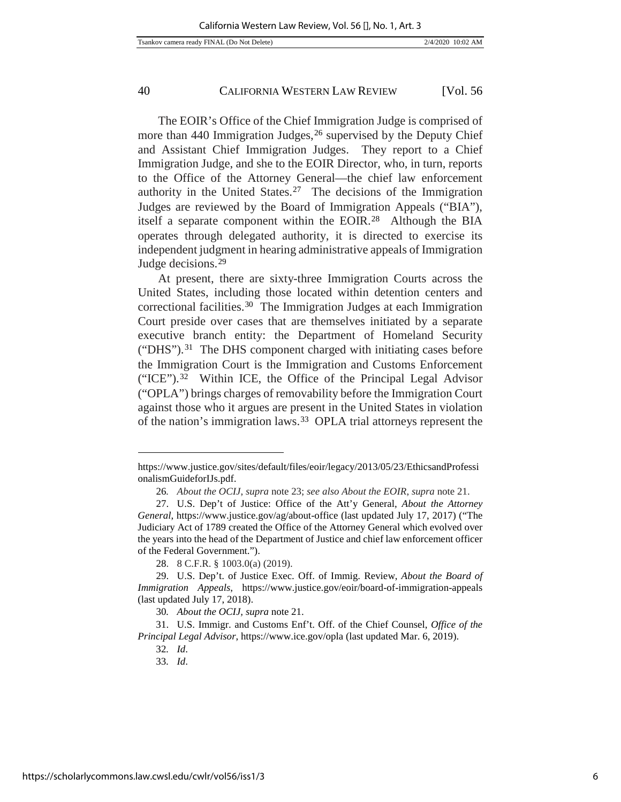The EOIR's Office of the Chief Immigration Judge is comprised of more than 440 Immigration Judges, <sup>[26](#page-6-0)</sup> supervised by the Deputy Chief and Assistant Chief Immigration Judges. They report to a Chief Immigration Judge, and she to the EOIR Director, who, in turn, reports to the Office of the Attorney General—the chief law enforcement authority in the United States.[27](#page-6-1) The decisions of the Immigration Judges are reviewed by the Board of Immigration Appeals ("BIA"), itself a separate component within the EOIR.[28](#page-6-2) Although the BIA operates through delegated authority, it is directed to exercise its independent judgment in hearing administrative appeals of Immigration Judge decisions.[29](#page-6-3)

At present, there are sixty-three Immigration Courts across the United States, including those located within detention centers and correctional facilities.[30](#page-6-4) The Immigration Judges at each Immigration Court preside over cases that are themselves initiated by a separate executive branch entity: the Department of Homeland Security ("DHS").[31](#page-6-5) The DHS component charged with initiating cases before the Immigration Court is the Immigration and Customs Enforcement ("ICE").[32](#page-6-6) Within ICE, the Office of the Principal Legal Advisor ("OPLA") brings charges of removability before the Immigration Court against those who it argues are present in the United States in violation of the nation's immigration laws.[33](#page-6-7) OPLA trial attorneys represent the

l

[https://www.justice.gov/sites/default/files/eoir/legacy/2013/05/23/EthicsandProfessi](https://www.justice.gov/sites/default/files/eoir/legacy/2013/05/23/EthicsandProfessionalismGuideforIJs.pdf) [onalismGuideforIJs.pdf.](https://www.justice.gov/sites/default/files/eoir/legacy/2013/05/23/EthicsandProfessionalismGuideforIJs.pdf)

<sup>26</sup>*. About the OCIJ*, *supra* note 23; *see also About the EOIR*, *supra* note 21.

<span id="page-6-1"></span><span id="page-6-0"></span><sup>27.</sup> U.S. Dep't of Justice: Office of the Att'y General, *About the Attorney General*,<https://www.justice.gov/ag/about-office> (last updated July 17, 2017) ("The Judiciary Act of 1789 created the Office of the Attorney General which evolved over the years into the head of the Department of Justice and chief law enforcement officer of the Federal Government.").

<sup>28.</sup> 8 C.F.R. § 1003.0(a) (2019).

<span id="page-6-3"></span><span id="page-6-2"></span><sup>29.</sup> U.S. Dep't. of Justice Exec. Off. of Immig. Review, *About the Board of Immigration Appeals*, https://www.justice.gov/eoir/board-of-immigration-appeals (last updated July 17, 2018).

<sup>30</sup>*. About the OCIJ, supra* note 21.

<span id="page-6-7"></span><span id="page-6-6"></span><span id="page-6-5"></span><span id="page-6-4"></span><sup>31.</sup> U.S. Immigr. and Customs Enf't. Off. of the Chief Counsel, *Office of the Principal Legal Advisor*[, https://www.ice.gov/opla](https://www.ice.gov/opla) (last updated Mar. 6, 2019).

<sup>32</sup>*. Id*.

<sup>33</sup>*. Id*.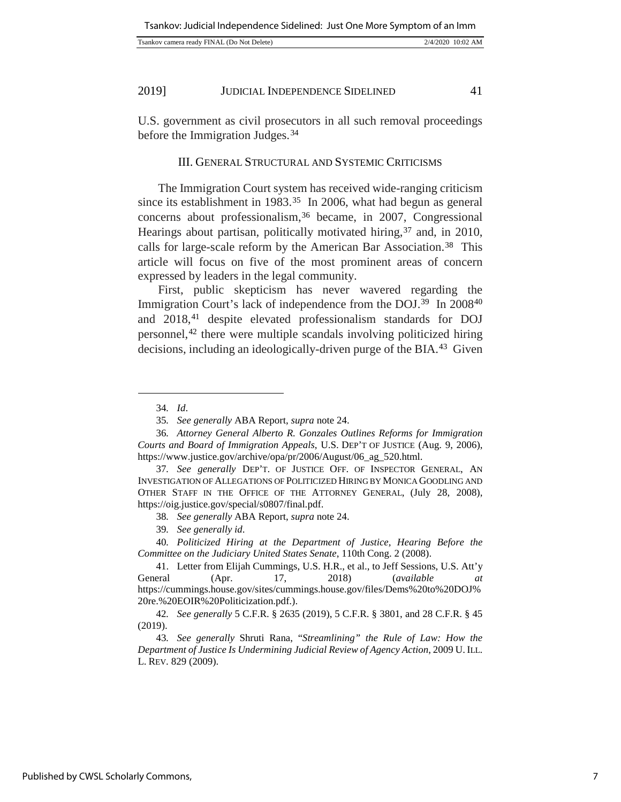| 2/4/2020 10:02 AM<br>Tsankov camera ready FINAL (Do Not Delete) |
|-----------------------------------------------------------------|
|-----------------------------------------------------------------|

U.S. government as civil prosecutors in all such removal proceedings before the Immigration Judges.<sup>[34](#page-7-0)</sup>

## III. GENERAL STRUCTURAL AND SYSTEMIC CRITICISMS

The Immigration Court system has received wide-ranging criticism since its establishment in 1983.<sup>35</sup> In 2006, what had begun as general concerns about professionalism,<sup>[36](#page-7-2)</sup> became, in 2007, Congressional Hearings about partisan, politically motivated hiring,<sup>[37](#page-7-3)</sup> and, in 2010, calls for large-scale reform by the American Bar Association.<sup>[38](#page-7-4)</sup> This article will focus on five of the most prominent areas of concern expressed by leaders in the legal community.

First, public skepticism has never wavered regarding the Immigration Court's lack of independence from the DOJ.[39](#page-7-5) In 2008[40](#page-7-6) and 2018,[41](#page-7-7) despite elevated professionalism standards for DOJ personnel,[42](#page-7-8) there were multiple scandals involving politicized hiring decisions, including an ideologically-driven purge of the BIA.[43](#page-7-9) Given

<span id="page-7-0"></span>l

<sup>34</sup>*. Id*.

<sup>35</sup>*. See generally* ABA Report, *supra* note 24.

<span id="page-7-2"></span><span id="page-7-1"></span><sup>36</sup>*. Attorney General Alberto R. Gonzales Outlines Reforms for Immigration Courts and Board of Immigration Appeals*, U.S. DEP'T OF JUSTICE (Aug. 9, 2006), [https://www.justice.gov/archive/opa/pr/2006/August/06\\_ag\\_520.html.](https://www.justice.gov/archive/opa/pr/2006/August/06_ag_520.html) 

<span id="page-7-3"></span><sup>37</sup>*. See generally* DEP'T. OF JUSTICE OFF. OF INSPECTOR GENERAL, AN INVESTIGATION OF ALLEGATIONS OF POLITICIZED HIRING BY MONICA GOODLING AND OTHER STAFF IN THE OFFICE OF THE ATTORNEY GENERAL, (July 28, 2008), [https://oig.justice.gov/special/s0807/final.pdf.](https://oig.justice.gov/special/s0807/final.pdf)

<sup>38</sup>*. See generally* ABA Report, *supra* note 24.

<sup>39</sup>*. See generally id*.

<span id="page-7-6"></span><span id="page-7-5"></span><span id="page-7-4"></span><sup>40</sup>*. Politicized Hiring at the Department of Justice, Hearing Before the Committee on the Judiciary United States Senate*, 110th Cong. 2 (2008).

<span id="page-7-7"></span><sup>41.</sup> Letter from Elijah Cummings, U.S. H.R., et al., to Jeff Sessions, U.S. Att'y General (Apr. 17, 2018) (*available at* [https://cummings.house.gov/sites/cummings.house.gov/files/Dems%20to%20DOJ%](https://cummings.house.gov/sites/cummings.house.gov/files/Dems%20to%20DOJ%20re.%20EOIR%20Politicization.pdf) [20re.%20EOIR%20Politicization.pdf.\)](https://cummings.house.gov/sites/cummings.house.gov/files/Dems%20to%20DOJ%20re.%20EOIR%20Politicization.pdf).

<span id="page-7-8"></span><sup>42</sup>*. See generally* 5 C.F.R. § 2635 (2019), 5 C.F.R. § 3801, an[d 28 C.F.R. § 45](http://www.ecfr.gov/cgi-bin/text-idx?SID=5ab39955d33206476d358bdc2a1da250&mc=true&node=pt28.2.45&rgn=div5) (2019).

<span id="page-7-9"></span><sup>43</sup>*. See generally* Shruti Rana, "*Streamlining" the Rule of Law: How the Department of Justice Is Undermining Judicial Review of Agency Action*, 2009 U. ILL. L. REV. 829 (2009).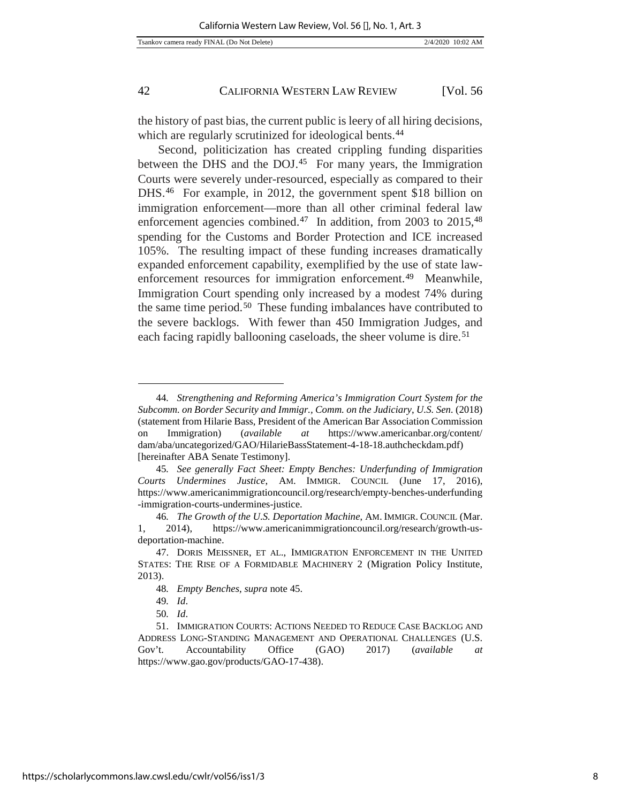the history of past bias, the current public is leery of all hiring decisions, which are regularly scrutinized for ideological bents.<sup>[44](#page-8-0)</sup>

Second, politicization has created crippling funding disparities between the DHS and the DOJ.[45](#page-8-1) For many years, the Immigration Courts were severely under-resourced, especially as compared to their DHS.[46](#page-8-2) For example, in 2012, the government spent \$18 billion on immigration enforcement—more than all other criminal federal law enforcement agencies combined.<sup>[47](#page-8-3)</sup> In addition, from 2003 to 2015,<sup>[48](#page-8-4)</sup> spending for the Customs and Border Protection and ICE increased 105%. The resulting impact of these funding increases dramatically expanded enforcement capability, exemplified by the use of state law-enforcement resources for immigration enforcement.<sup>[49](#page-8-5)</sup> Meanwhile, Immigration Court spending only increased by a modest 74% during the same time period.[50](#page-8-6) These funding imbalances have contributed to the severe backlogs. With fewer than 450 Immigration Judges, and each facing rapidly ballooning caseloads, the sheer volume is dire.<sup>[51](#page-8-7)</sup>

<span id="page-8-0"></span><sup>44</sup>*. Strengthening and Reforming America's Immigration Court System for the Subcomm. on Border Security and Immigr., Comm. on the Judiciary*, *U.S. Sen.* (2018) (statement from Hilarie Bass, President of the American Bar Association Commission on Immigration) (*available at* https://www.americanbar.org/content/ dam/aba/uncategorized/GAO/HilarieBassStatement-4-18-18.authcheckdam.pdf) [hereinafter ABA Senate Testimony].

<span id="page-8-1"></span><sup>45</sup>*. See generally Fact Sheet: Empty Benches: Underfunding of Immigration Courts Undermines Justice*, AM. IMMIGR. COUNCIL (June 17, 2016), https://www.americanimmigrationcouncil.org/research/empty-benches-underfunding -immigration-courts-undermines-justice.

<span id="page-8-2"></span><sup>46</sup>*. The Growth of the U.S. Deportation Machine*, AM. IMMIGR. COUNCIL (Mar. 1, 2014), https://www.americanimmigrationcouncil.org/research/growth-usdeportation-machine.

<span id="page-8-4"></span><span id="page-8-3"></span><sup>47.</sup> DORIS MEISSNER, ET AL., IMMIGRATION ENFORCEMENT IN THE UNITED STATES: THE RISE OF A FORMIDABLE MACHINERY 2 (Migration Policy Institute, 2013).

<sup>48</sup>*. Empty Benches*, *supra* note 45.

<sup>49</sup>*. Id*.

<sup>50</sup>*. Id*.

<span id="page-8-7"></span><span id="page-8-6"></span><span id="page-8-5"></span><sup>51.</sup> IMMIGRATION COURTS: ACTIONS NEEDED TO REDUCE CASE BACKLOG AND ADDRESS LONG-STANDING MANAGEMENT AND OPERATIONAL CHALLENGES (U.S. Gov't. Accountability Office (GAO) 2017) (*available at* https://www.gao.gov/products/GAO-17-438).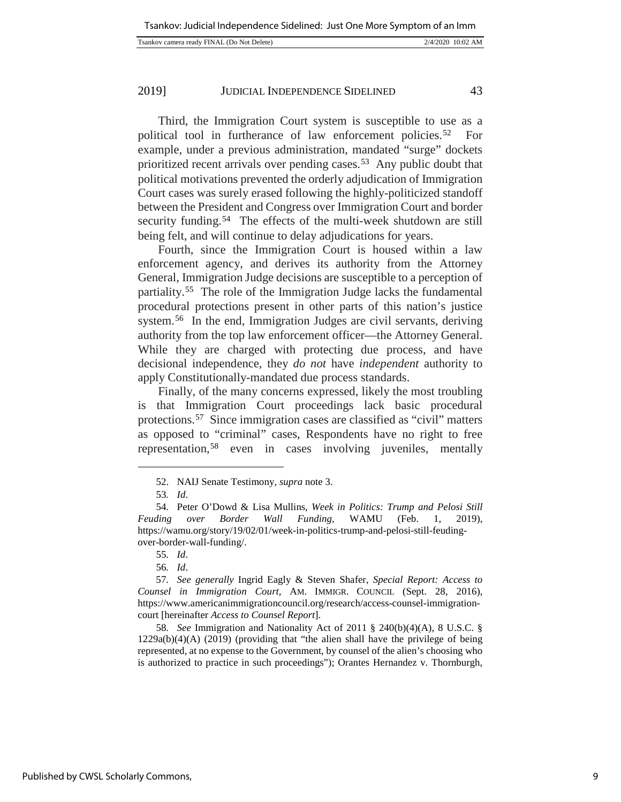Third, the Immigration Court system is susceptible to use as a political tool in furtherance of law enforcement policies.[52](#page-9-0) For example, under a previous administration, mandated "surge" dockets prioritized recent arrivals over pending cases.[53](#page-9-1) Any public doubt that political motivations prevented the orderly adjudication of Immigration Court cases was surely erased following the highly-politicized standoff between the President and Congress over Immigration Court and border security funding.<sup>[54](#page-9-2)</sup> The effects of the multi-week shutdown are still being felt, and will continue to delay adjudications for years.

Fourth, since the Immigration Court is housed within a law enforcement agency, and derives its authority from the Attorney General, Immigration Judge decisions are susceptible to a perception of partiality.[55](#page-9-3) The role of the Immigration Judge lacks the fundamental procedural protections present in other parts of this nation's justice system.<sup>56</sup> In the end, Immigration Judges are civil servants, deriving authority from the top law enforcement officer—the Attorney General. While they are charged with protecting due process, and have decisional independence, they *do not* have *independent* authority to apply Constitutionally-mandated due process standards.

Finally, of the many concerns expressed, likely the most troubling is that Immigration Court proceedings lack basic procedural protections.[57](#page-9-5) Since immigration cases are classified as "civil" matters as opposed to "criminal" cases, Respondents have no right to free representation,[58](#page-9-6) even in cases involving juveniles, mentally

<span id="page-9-0"></span>j

<span id="page-9-6"></span>58*. See* Immigration and Nationality Act of 2011 § 240(b)(4)(A), 8 U.S.C. § 1229a(b)(4)(A) (2019) (providing that "the alien shall have the privilege of being represented, at no expense to the Government, by counsel of the alien's choosing who is authorized to practice in such proceedings"); Orantes Hernandez v. Thornburgh,

<sup>52.</sup> NAIJ Senate Testimony, *supra* note 3.

<sup>53</sup>*. Id*.

<span id="page-9-2"></span><span id="page-9-1"></span><sup>54.</sup> Peter O'Dowd & Lisa Mullins, *Week in Politics: Trump and Pelosi Still Feuding over Border Wall Funding,* WAMU (Feb. 1, 2019), [https://wamu.org/story/19/02/01/week-in-politics-trump-and-pelosi-still-feuding](https://wamu.org/story/19/02/01/week-in-politics-trump-and-pelosi-still-feuding-over-border-wall-funding/)[over-border-wall-funding/.](https://wamu.org/story/19/02/01/week-in-politics-trump-and-pelosi-still-feuding-over-border-wall-funding/)

<sup>55</sup>*. Id*.

<sup>56</sup>*. Id*.

<span id="page-9-5"></span><span id="page-9-4"></span><span id="page-9-3"></span><sup>57</sup>*. See generally* Ingrid Eagly & Steven Shafer, *Special Report: Access to Counsel in Immigration Court*, AM. IMMIGR. COUNCIL (Sept. 28, 2016), [https://www.americanimmigrationcouncil.org/research/access-counsel-immigration](https://www.americanimmigrationcouncil.org/research/access-counsel-immigration-court)[court](https://www.americanimmigrationcouncil.org/research/access-counsel-immigration-court) [hereinafter *Access to Counsel Report*].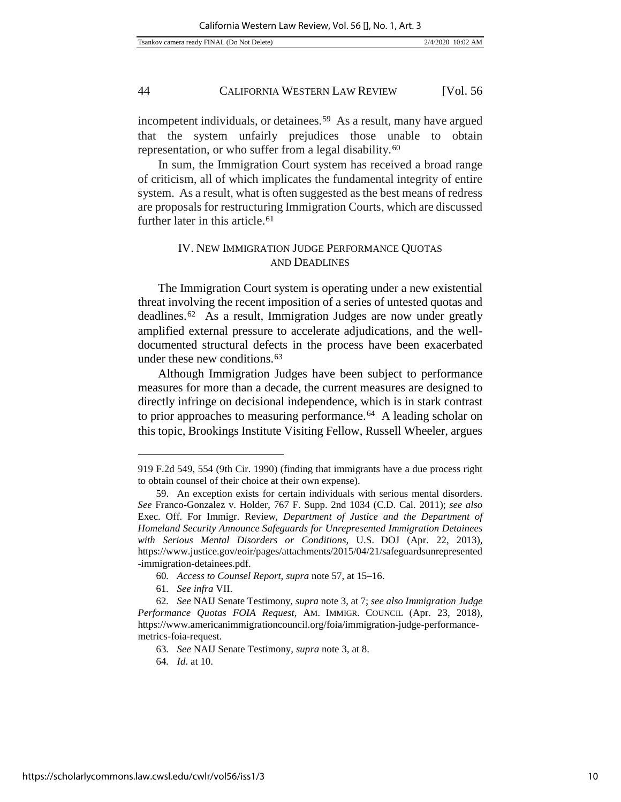incompetent individuals, or detainees.[59](#page-10-0) As a result, many have argued that the system unfairly prejudices those unable to obtain representation, or who suffer from a legal disability.[60](#page-10-1)

In sum, the Immigration Court system has received a broad range of criticism, all of which implicates the fundamental integrity of entire system. As a result, what is often suggested as the best means of redress are proposals for restructuring Immigration Courts, which are discussed further later in this article.<sup>[61](#page-10-2)</sup>

## IV. NEW IMMIGRATION JUDGE PERFORMANCE QUOTAS AND DEADLINES

The Immigration Court system is operating under a new existential threat involving the recent imposition of a series of untested quotas and deadlines.[62](#page-10-3) As a result, Immigration Judges are now under greatly amplified external pressure to accelerate adjudications, and the welldocumented structural defects in the process have been exacerbated under these new conditions.[63](#page-10-4)

Although Immigration Judges have been subject to performance measures for more than a decade, the current measures are designed to directly infringe on decisional independence, which is in stark contrast to prior approaches to measuring performance.<sup>64</sup> A leading scholar on this topic, Brookings Institute Visiting Fellow, Russell Wheeler, argues

<sup>919</sup> F.2d 549, 554 (9th Cir. 1990) (finding that immigrants have a due process right to obtain counsel of their choice at their own expense).

<span id="page-10-0"></span><sup>59.</sup> An exception exists for certain individuals with serious mental disorders. *See* Franco-Gonzalez v. Holder, 767 F. Supp. 2nd 1034 (C.D. Cal. 2011); *see also*  Exec. Off. For Immigr. Review, *Department of Justice and the Department of Homeland Security Announce Safeguards for Unrepresented Immigration Detainees with Serious Mental Disorders or Conditions*, U.S. DOJ (Apr. 22, 2013), [https://www.justice.gov/eoir/pages/attachments/2015/04/21/safeguardsunrepresented](https://www.justice./) [-immigration-detainees.pdf.](https://www.justice./) 

<sup>60</sup>*. Access to Counsel Report, supra* note 57, at 15–16.

<sup>61</sup>*. See infra* VII.

<span id="page-10-5"></span><span id="page-10-4"></span><span id="page-10-3"></span><span id="page-10-2"></span><span id="page-10-1"></span><sup>62</sup>*. See* NAIJ Senate Testimony*, supra* note 3, at 7; *see also Immigration Judge Performance Quotas FOIA Request*, AM. IMMIGR. COUNCIL (Apr. 23, 2018), [https://www.americanimmigrationcouncil.org/foia/immigration-judge-performance](https://www.americanimmigrationcouncil.org/foia/immigration-judge-performance-metrics-foia-request)[metrics-foia-request.](https://www.americanimmigrationcouncil.org/foia/immigration-judge-performance-metrics-foia-request) 

<sup>63</sup>*. See* NAIJ Senate Testimony*, supra* note 3, at 8.

<sup>64</sup>*. Id*. at 10.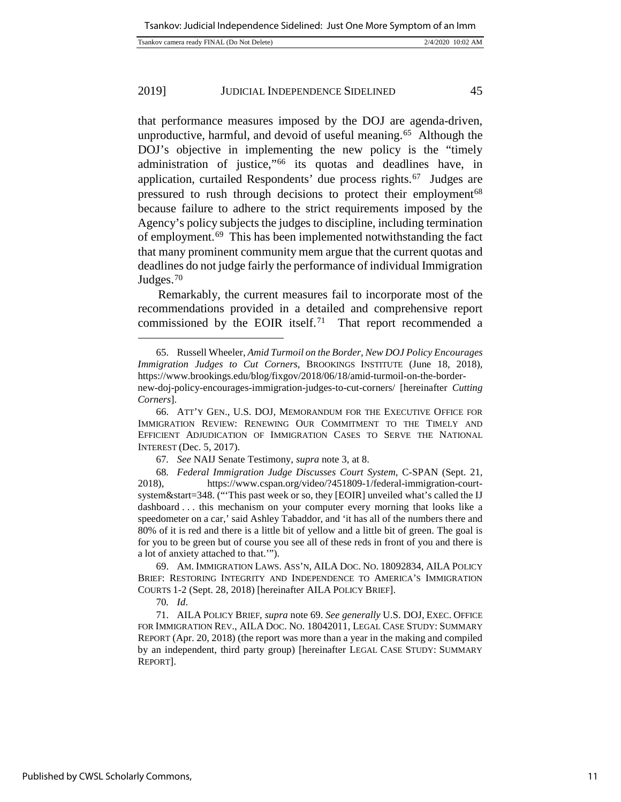| Tsankov camera ready FINAL (Do Not Delete) | 2/4/2020 10:02 AM |
|--------------------------------------------|-------------------|
|                                            |                   |

that performance measures imposed by the DOJ are agenda-driven, unproductive, harmful, and devoid of useful meaning.[65](#page-11-0) Although the DOJ's objective in implementing the new policy is the "timely administration of justice,"[66](#page-11-1) its quotas and deadlines have, in application, curtailed Respondents' due process rights.[67](#page-11-2) Judges are pressured to rush through decisions to protect their employment<sup>[68](#page-11-3)</sup> because failure to adhere to the strict requirements imposed by the Agency's policy subjects the judges to discipline, including termination of employment.[69](#page-11-4) This has been implemented notwithstanding the fact that many prominent community mem argue that the current quotas and deadlines do not judge fairly the performance of individual Immigration Judges.[70](#page-11-5)

Remarkably, the current measures fail to incorporate most of the recommendations provided in a detailed and comprehensive report commissioned by the EOIR itself.[71](#page-11-6) That report recommended a

<span id="page-11-0"></span><sup>65.</sup> Russell Wheeler, *Amid Turmoil on the Border, New DOJ Policy Encourages Immigration Judges to Cut Corners*, BROOKINGS INSTITUTE (June 18, 2018), https://www.brookings.edu/blog/fixgov/2018/06/18/amid-turmoil-on-the-bordernew-doj-policy-encourages-immigration-judges-to-cut-corners/ [hereinafter *Cutting Corners*].

<span id="page-11-1"></span><sup>66.</sup> ATT'Y GEN., U.S. DOJ, MEMORANDUM FOR THE EXECUTIVE OFFICE FOR IMMIGRATION REVIEW: RENEWING OUR COMMITMENT TO THE TIMELY AND EFFICIENT ADJUDICATION OF IMMIGRATION CASES TO SERVE THE NATIONAL INTEREST (Dec. 5, 2017).

<sup>67</sup>*. See* NAIJ Senate Testimony, *supra* note 3, at 8.

<span id="page-11-3"></span><span id="page-11-2"></span><sup>68</sup>*. Federal Immigration Judge Discusses Court System*, C-SPAN (Sept. 21, 2018), [https://www.cspan.org/video/?451809-1/federal-immigration-court](https://www.cspan.org/video/?451809-1/federal-immigration-court-system&start=348)[system&start=348.](https://www.cspan.org/video/?451809-1/federal-immigration-court-system&start=348) ("'This past week or so, they [EOIR] unveiled what's called the IJ dashboard . . . this mechanism on your computer every morning that looks like a speedometer on a car,' said Ashley Tabaddor, and 'it has all of the numbers there and 80% of it is red and there is a little bit of yellow and a little bit of green. The goal is for you to be green but of course you see all of these reds in front of you and there is a lot of anxiety attached to that.'").

<span id="page-11-4"></span><sup>69.</sup> AM. IMMIGRATION LAWS. ASS'N, AILA DOC. NO. 18092834, AILA POLICY BRIEF: RESTORING INTEGRITY AND INDEPENDENCE TO AMERICA'S IMMIGRATION COURTS 1-2 (Sept. 28, 2018) [hereinafter AILA POLICY BRIEF].

<sup>70</sup>*. Id*.

<span id="page-11-6"></span><span id="page-11-5"></span><sup>71.</sup> AILA POLICY BRIEF, *supra* note 69. *See generally* U.S. DOJ, EXEC. OFFICE FOR IMMIGRATION REV., AILA DOC. NO. 18042011, LEGAL CASE STUDY: SUMMARY REPORT (Apr. 20, 2018) (the report was more than a year in the making and compiled by an independent, third party group) [hereinafter LEGAL CASE STUDY: SUMMARY REPORT].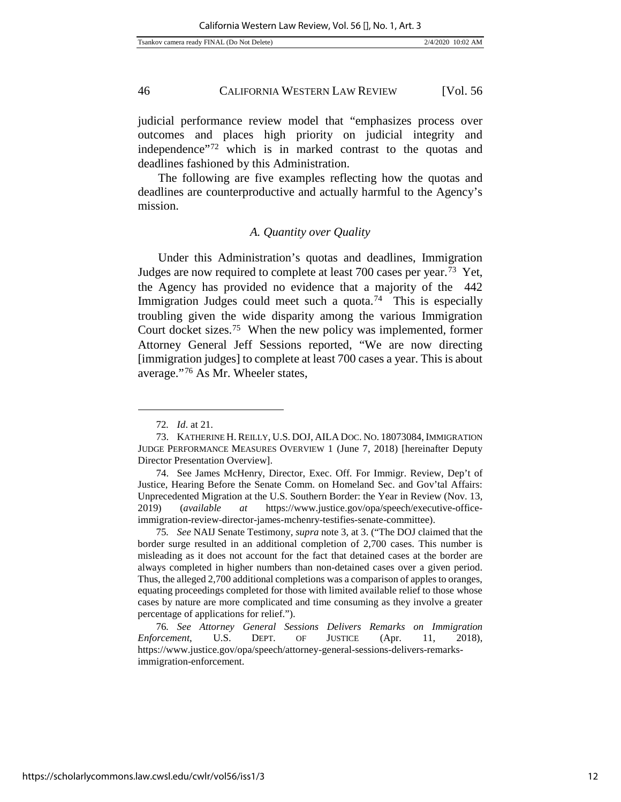judicial performance review model that "emphasizes process over outcomes and places high priority on judicial integrity and independence"[72](#page-12-0) which is in marked contrast to the quotas and deadlines fashioned by this Administration.

The following are five examples reflecting how the quotas and deadlines are counterproductive and actually harmful to the Agency's mission.

#### *A. Quantity over Quality*

Under this Administration's quotas and deadlines, Immigration Judges are now required to complete at least 700 cases per year.[73](#page-12-1) Yet, the Agency has provided no evidence that a majority of the 442 Immigration Judges could meet such a quota.<sup>[74](#page-12-2)</sup> This is especially troubling given the wide disparity among the various Immigration Court docket sizes.[75](#page-12-3) When the new policy was implemented, former Attorney General Jeff Sessions reported, "We are now directing [immigration judges] to complete at least 700 cases a year. This is about average."[76](#page-12-4) As Mr. Wheeler states,

l

<sup>72</sup>*. Id*. at 21.

<span id="page-12-1"></span><span id="page-12-0"></span><sup>73.</sup> KATHERINE H. REILLY, U.S. DOJ, AILA DOC. NO. 18073084, IMMIGRATION JUDGE PERFORMANCE MEASURES OVERVIEW 1 (June 7, 2018) [hereinafter Deputy Director Presentation Overview].

<span id="page-12-2"></span><sup>74.</sup> See James McHenry, Director, Exec. Off. For Immigr. Review, Dep't of Justice, Hearing Before the Senate Comm. on Homeland Sec. and Gov'tal Affairs: Unprecedented Migration at the U.S. Southern Border: the Year in Review (Nov. 13, 2019) (*available at* https://www.justice.gov/opa/speech/executive-officeimmigration-review-director-james-mchenry-testifies-senate-committee).

<span id="page-12-3"></span><sup>75</sup>*. See* NAIJ Senate Testimony*, supra* note 3, at 3. ("The DOJ claimed that the border surge resulted in an additional completion of 2,700 cases. This number is misleading as it does not account for the fact that detained cases at the border are always completed in higher numbers than non-detained cases over a given period. Thus, the alleged 2,700 additional completions was a comparison of apples to oranges, equating proceedings completed for those with limited available relief to those whose cases by nature are more complicated and time consuming as they involve a greater percentage of applications for relief.").

<span id="page-12-4"></span><sup>76</sup>*. See Attorney General Sessions Delivers Remarks on Immigration Enforcement*, U.S. DEPT. OF JUSTICE (Apr. 11, 2018), [https://www.justice.gov/opa/speech/attorney-general-sessions-delivers-remarks](https://www.justice.gov/opa/speech/attorney-general-sessions-delivers-remarks-immigration-enforcement)[immigration-enforcement.](https://www.justice.gov/opa/speech/attorney-general-sessions-delivers-remarks-immigration-enforcement)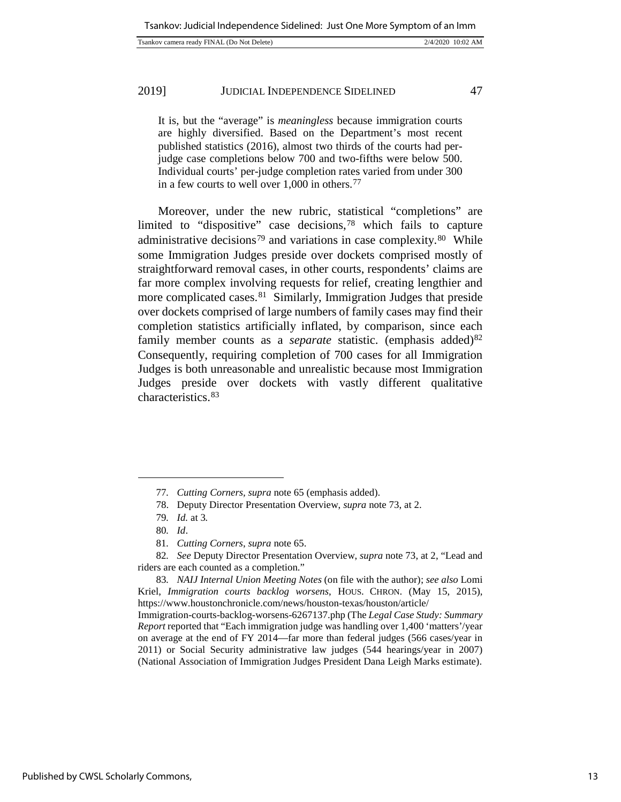| Tsankov camera ready FINAL (Do Not Delete) | 2/4/2020 10:02 AM |
|--------------------------------------------|-------------------|
|                                            |                   |

It is, but the "average" is *meaningless* because immigration courts are highly diversified. Based on the Department's most recent published [statistics](https://www.justice.gov/eoir/page/file/fysb16/download) (2016), almost two thirds of the courts had perjudge case completions below 700 and two-fifths were below 500. Individual courts' per-judge completion rates varied from under 300 in a few courts to well over 1,000 in others.[77](#page-13-0)

Moreover, under the new rubric, statistical "completions" are limited to "dispositive" case decisions,[78](#page-13-1) which fails to capture administrative decisions<sup>[79](#page-13-2)</sup> and variations in case complexity.<sup>80</sup> While some Immigration Judges preside over dockets comprised mostly of straightforward removal cases, in other courts, respondents' claims are far more complex involving requests for relief, creating lengthier and more complicated cases.<sup>[81](#page-13-4)</sup> Similarly, Immigration Judges that preside over dockets comprised of large numbers of family cases may find their completion statistics artificially inflated, by comparison, since each family member counts as a *separate* statistic. (emphasis added)<sup>82</sup> Consequently, requiring completion of 700 cases for all Immigration Judges is both unreasonable and unrealistic because most Immigration Judges preside over dockets with vastly different qualitative characteristics.[83](#page-13-6)

<sup>77</sup>*. Cutting Corners, supra* note 65 (emphasis added).

<sup>78.</sup> Deputy Director Presentation Overview, *supra* note 73, at 2.

<sup>79</sup>*. Id.* at 3*.*

<sup>80</sup>*. Id*.

<sup>81</sup>*. Cutting Corners*, *supra* note 65.

<span id="page-13-5"></span><span id="page-13-4"></span><span id="page-13-3"></span><span id="page-13-2"></span><span id="page-13-1"></span><span id="page-13-0"></span><sup>82</sup>*. See* Deputy Director Presentation Overview, *supra* note 73, at 2, "Lead and riders are each counted as a completion."

<span id="page-13-6"></span><sup>83</sup>*. NAIJ Internal Union Meeting Notes* (on file with the author); *see also* Lomi Kriel, *Immigration courts backlog worsens*, HOUS. CHRON. (May 15, 2015), https://www.houstonchronicle.com/news/houston-texas/houston/article/

Immigration-courts-backlog-worsens-6267137.php (The *Legal Case Study: Summary Report* reported that "Each immigration judge was handling over 1,400 'matters'/year on average at the end of FY 2014—far more than federal judges (566 cases/year in 2011) or Social Security administrative law judges (544 hearings/year in 2007) (National Association of Immigration Judges President Dana Leigh Marks estimate).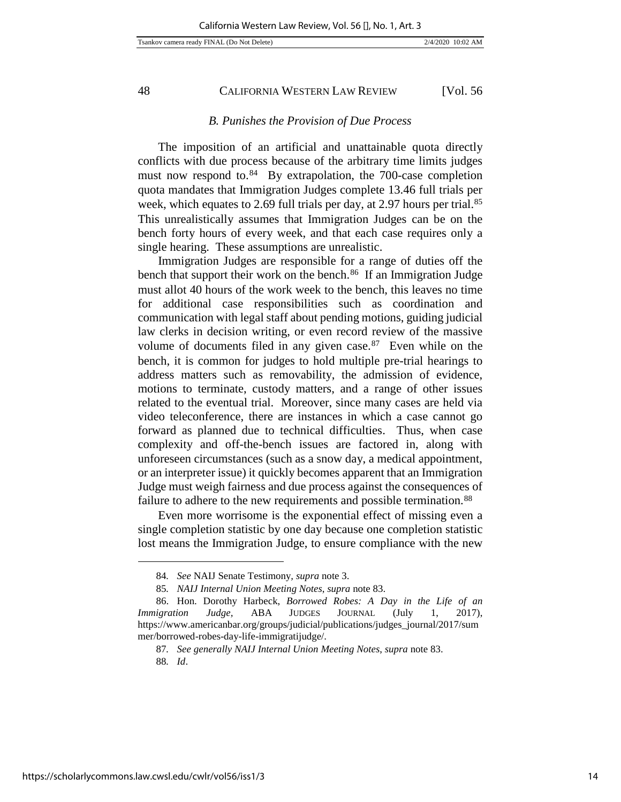#### *B. Punishes the Provision of Due Process*

The imposition of an artificial and unattainable quota directly conflicts with due process because of the arbitrary time limits judges must now respond to. $84$  By extrapolation, the 700-case completion quota mandates that Immigration Judges complete 13.46 full trials per week, which equates to 2.69 full trials per day, at 2.97 hours per trial.<sup>85</sup> This unrealistically assumes that Immigration Judges can be on the bench forty hours of every week, and that each case requires only a single hearing. These assumptions are unrealistic.

Immigration Judges are responsible for a range of duties off the bench that support their work on the bench.<sup>86</sup> If an Immigration Judge must allot 40 hours of the work week to the bench, this leaves no time for additional case responsibilities such as coordination and communication with legal staff about pending motions, guiding judicial law clerks in decision writing, or even record review of the massive volume of documents filed in any given case.[87](#page-14-3) Even while on the bench, it is common for judges to hold multiple pre-trial hearings to address matters such as removability, the admission of evidence, motions to terminate, custody matters, and a range of other issues related to the eventual trial. Moreover, since many cases are held via video teleconference, there are instances in which a case cannot go forward as planned due to technical difficulties. Thus, when case complexity and off-the-bench issues are factored in, along with unforeseen circumstances (such as a snow day, a medical appointment, or an interpreter issue) it quickly becomes apparent that an Immigration Judge must weigh fairness and due process against the consequences of failure to adhere to the new requirements and possible termination.<sup>[88](#page-14-4)</sup>

Even more worrisome is the exponential effect of missing even a single completion statistic by one day because one completion statistic lost means the Immigration Judge, to ensure compliance with the new

j

<sup>84</sup>*. See* NAIJ Senate Testimony*, supra* note 3.

<sup>85</sup>*. NAIJ Internal Union Meeting Notes*, *supra* note 83.

<span id="page-14-4"></span><span id="page-14-3"></span><span id="page-14-2"></span><span id="page-14-1"></span><span id="page-14-0"></span><sup>86.</sup> Hon. Dorothy Harbeck, *Borrowed Robes: A Day in the Life of an Immigration Judge,* ABA JUDGES JOURNAL (July 1, 2017), [https://www.americanbar.org/groups/judicial/publications/judges\\_journal/2017/sum](https://www.americanbar.org/groups/judicial/publications/judges_journal/2017/summer/borrowed-robes-day-life-immigratijudge/) [mer/borrowed-robes-day-life-immigratijudge/.](https://www.americanbar.org/groups/judicial/publications/judges_journal/2017/summer/borrowed-robes-day-life-immigratijudge/)

<sup>87</sup>*. See generally NAIJ Internal Union Meeting Notes*, *supra* note 83.

<sup>88</sup>*. Id*.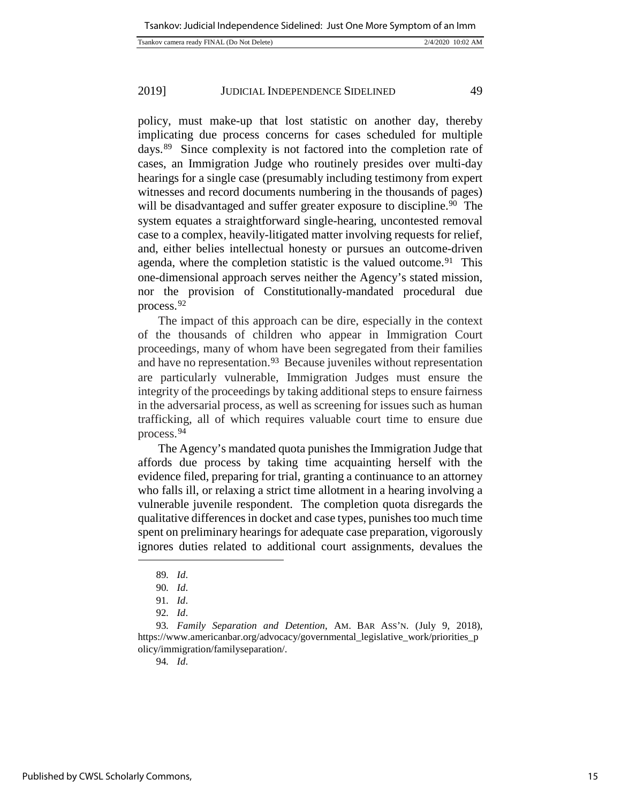| Tsankov camera ready FINAL (Do Not Delete) | 2/4/2020 10:02 AM |
|--------------------------------------------|-------------------|
|                                            |                   |

policy, must make-up that lost statistic on another day, thereby implicating due process concerns for cases scheduled for multiple days.[89](#page-15-0) Since complexity is not factored into the completion rate of cases, an Immigration Judge who routinely presides over multi-day hearings for a single case (presumably including testimony from expert witnesses and record documents numbering in the thousands of pages) will be disadvantaged and suffer greater exposure to discipline.<sup>90</sup> The system equates a straightforward single-hearing, uncontested removal case to a complex, heavily-litigated matter involving requests for relief, and, either belies intellectual honesty or pursues an outcome-driven agenda, where the completion statistic is the valued outcome.<sup>91</sup> This one-dimensional approach serves neither the Agency's stated mission, nor the provision of Constitutionally-mandated procedural due process.[92](#page-15-3)

The impact of this approach can be dire, especially in the context of the thousands of children who appear in Immigration Court proceedings, many of whom have been segregated from their families and have no representation.<sup>[93](#page-15-4)</sup> Because juveniles without representation are particularly vulnerable, Immigration Judges must ensure the integrity of the proceedings by taking additional steps to ensure fairness in the adversarial process, as well as screening for issues such as human trafficking, all of which requires valuable court time to ensure due process.[94](#page-15-5)

The Agency's mandated quota punishes the Immigration Judge that affords due process by taking time acquainting herself with the evidence filed, preparing for trial, granting a continuance to an attorney who falls ill, or relaxing a strict time allotment in a hearing involving a vulnerable juvenile respondent. The completion quota disregards the qualitative differences in docket and case types, punishes too much time spent on preliminary hearings for adequate case preparation, vigorously ignores duties related to additional court assignments, devalues the

<span id="page-15-1"></span><span id="page-15-0"></span>l

94*. Id*.

<sup>89</sup>*. Id*.

<sup>90</sup>*. Id*.

<sup>91</sup>*. Id*.

<sup>92</sup>*. Id*.

<span id="page-15-5"></span><span id="page-15-4"></span><span id="page-15-3"></span><span id="page-15-2"></span><sup>93</sup>*. Family Separation and Detention*, AM. BAR ASS'N. (July 9, 2018), [https://www.americanbar.org/advocacy/governmental\\_legislative\\_work/priorities\\_p](https://www.americanbar.org/advocacy/governmental_legislative_work/priorities_policy/immigration/familyseparation/) [olicy/immigration/familyseparation/.](https://www.americanbar.org/advocacy/governmental_legislative_work/priorities_policy/immigration/familyseparation/)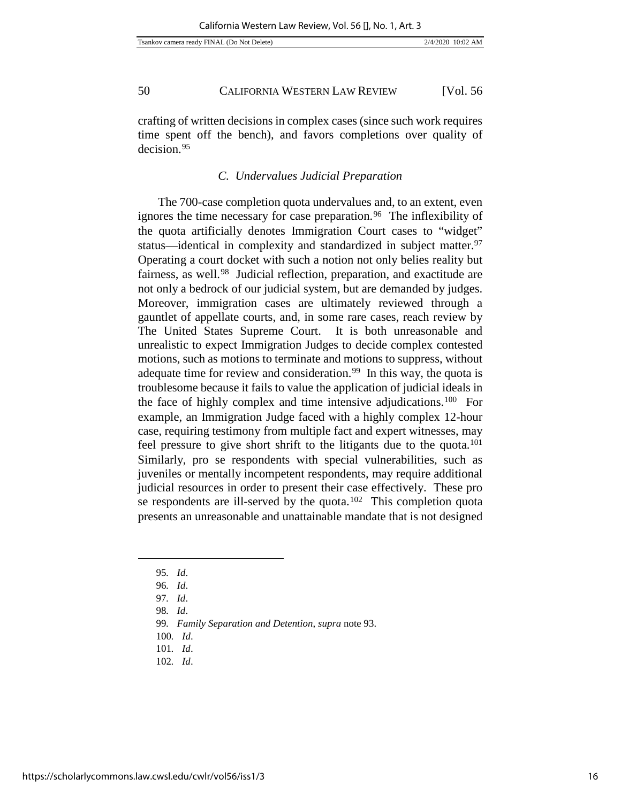crafting of written decisions in complex cases (since such work requires time spent off the bench), and favors completions over quality of decision.[95](#page-16-0)

## *C. Undervalues Judicial Preparation*

The 700-case completion quota undervalues and, to an extent, even ignores the time necessary for case preparation.<sup>[96](#page-16-1)</sup> The inflexibility of the quota artificially denotes Immigration Court cases to "widget" status—identical in complexity and standardized in subject matter.[97](#page-16-2)  Operating a court docket with such a notion not only belies reality but fairness, as well.[98](#page-16-3) Judicial reflection, preparation, and exactitude are not only a bedrock of our judicial system, but are demanded by judges. Moreover, immigration cases are ultimately reviewed through a gauntlet of appellate courts, and, in some rare cases, reach review by The United States Supreme Court. It is both unreasonable and unrealistic to expect Immigration Judges to decide complex contested motions, such as motions to terminate and motions to suppress, without adequate time for review and consideration.<sup>[99](#page-16-4)</sup> In this way, the quota is troublesome because it fails to value the application of judicial ideals in the face of highly complex and time intensive adjudications.[100](#page-16-5) For example, an Immigration Judge faced with a highly complex 12-hour case, requiring testimony from multiple fact and expert witnesses, may feel pressure to give short shrift to the litigants due to the quota.[101](#page-16-6)  Similarly, pro se respondents with special vulnerabilities, such as juveniles or mentally incompetent respondents, may require additional judicial resources in order to present their case effectively. These pro se respondents are ill-served by the quota.<sup>[102](#page-16-7)</sup> This completion quota presents an unreasonable and unattainable mandate that is not designed

<span id="page-16-4"></span><span id="page-16-3"></span><span id="page-16-2"></span><span id="page-16-1"></span><span id="page-16-0"></span>j

<sup>95</sup>*. Id*.

<sup>96</sup>*. Id*.

<sup>97</sup>*. Id*.

<sup>98</sup>*. Id*.

<sup>99</sup>*. Family Separation and Detention*, *supra* note 93.

<sup>100</sup>*. Id*.

<span id="page-16-7"></span><span id="page-16-6"></span><span id="page-16-5"></span><sup>101</sup>*. Id*.

<sup>102</sup>*. Id*.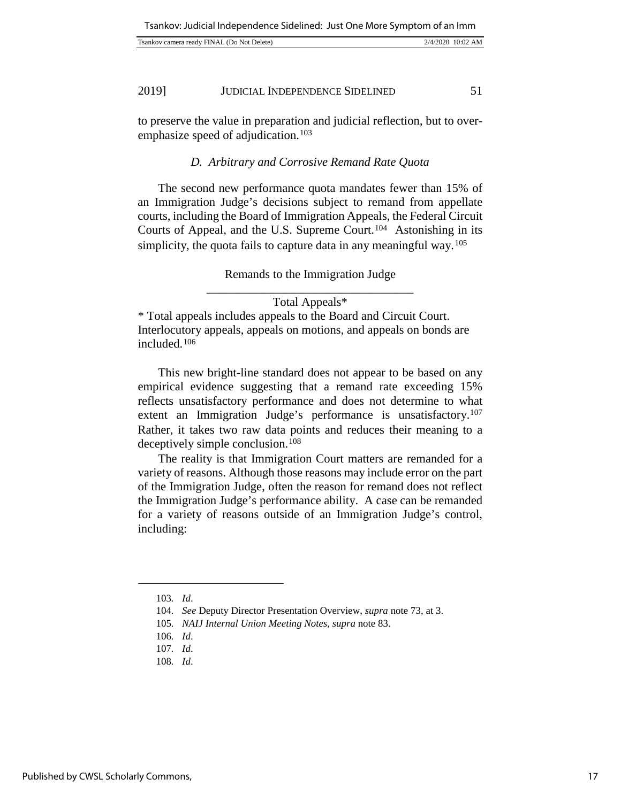| Tsankov camera ready FINAL (Do Not Delete) | 2/4/2020 10:02 AM |
|--------------------------------------------|-------------------|
|                                            |                   |

to preserve the value in preparation and judicial reflection, but to over-emphasize speed of adjudication.<sup>[103](#page-17-0)</sup>

## *D. Arbitrary and Corrosive Remand Rate Quota*

The second new performance quota mandates fewer than 15% of an Immigration Judge's decisions subject to remand from appellate courts, including the Board of Immigration Appeals, the Federal Circuit Courts of Appeal, and the U.S. Supreme Court.[104](#page-17-1) Astonishing in its simplicity, the quota fails to capture data in any meaningful way.<sup>105</sup>

> Remands to the Immigration Judge \_\_\_\_\_\_\_\_\_\_\_\_\_\_\_\_\_\_\_\_\_\_\_\_\_\_\_\_\_\_\_\_\_\_

> > Total Appeals\*

\* Total appeals includes appeals to the Board and Circuit Court. Interlocutory appeals, appeals on motions, and appeals on bonds are included.[106](#page-17-3)

This new bright-line standard does not appear to be based on any empirical evidence suggesting that a remand rate exceeding 15% reflects unsatisfactory performance and does not determine to what extent an Immigration Judge's performance is unsatisfactory.[107](#page-17-4)  Rather, it takes two raw data points and reduces their meaning to a deceptively simple conclusion.<sup>[108](#page-17-5)</sup>

The reality is that Immigration Court matters are remanded for a variety of reasons. Although those reasons may include error on the part of the Immigration Judge, often the reason for remand does not reflect the Immigration Judge's performance ability. A case can be remanded for a variety of reasons outside of an Immigration Judge's control, including:

<span id="page-17-0"></span><sup>103</sup>*. Id*.

<sup>104</sup>*. See* Deputy Director Presentation Overview, *supra* note 73, at 3.

<span id="page-17-1"></span><sup>105</sup>*. NAIJ Internal Union Meeting Notes*, *supra* note 83.

<sup>106</sup>*. Id*.

<span id="page-17-5"></span><span id="page-17-4"></span><span id="page-17-3"></span><span id="page-17-2"></span><sup>107</sup>*. Id*.

<sup>108</sup>*. Id*.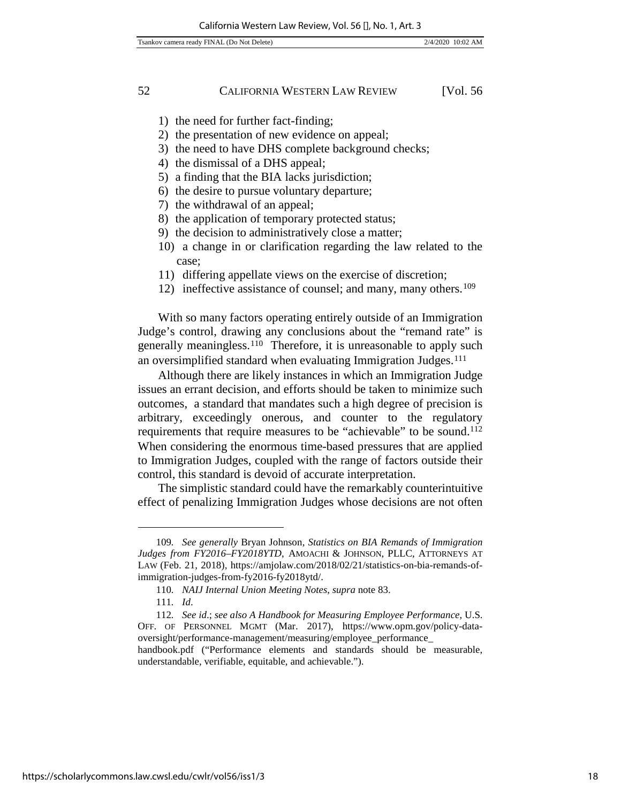- 1) the need for further fact-finding;
- 2) the presentation of new evidence on appeal;
- 3) the need to have DHS complete background checks;
- 4) the dismissal of a DHS appeal;
- 5) a finding that the BIA lacks jurisdiction;
- 6) the desire to pursue voluntary departure;
- 7) the withdrawal of an appeal;
- 8) the application of temporary protected status;
- 9) the decision to administratively close a matter;
- 10) a change in or clarification regarding the law related to the case;
- 11) differing appellate views on the exercise of discretion;
- 12) ineffective assistance of counsel; and many, many others.<sup>[109](#page-18-0)</sup>

With so many factors operating entirely outside of an Immigration Judge's control, drawing any conclusions about the "remand rate" is generally meaningless.<sup>[110](#page-18-1)</sup> Therefore, it is unreasonable to apply such an oversimplified standard when evaluating Immigration Judges.<sup>[111](#page-18-2)</sup>

Although there are likely instances in which an Immigration Judge issues an errant decision, and efforts should be taken to minimize such outcomes, a standard that mandates such a high degree of precision is arbitrary, exceedingly onerous, and counter to the regulatory requirements that require measures to be "achievable" to be sound.[112](#page-18-3)  When considering the enormous time-based pressures that are applied to Immigration Judges, coupled with the range of factors outside their control, this standard is devoid of accurate interpretation.

The simplistic standard could have the remarkably counterintuitive effect of penalizing Immigration Judges whose decisions are not often

<span id="page-18-0"></span><sup>109</sup>*. See generally* Bryan Johnson, *Statistics on BIA Remands of Immigration Judges from FY2016–FY2018YTD*, AMOACHI & JOHNSON, PLLC, ATTORNEYS AT LAW (Feb. 21, 2018), [https://amjolaw.com/2018/02/21/statistics-on-bia-remands-of](https://amjolaw.com/2018/02/21/statistics-on-bia-remands-of-immigration-judges-from-fy2016-fy2018ytd/)[immigration-judges-from-fy2016-fy2018ytd/.](https://amjolaw.com/2018/02/21/statistics-on-bia-remands-of-immigration-judges-from-fy2016-fy2018ytd/) 

<sup>110</sup>*. NAIJ Internal Union Meeting Notes*, *supra* note 83.

<sup>111</sup>*. Id*.

<span id="page-18-3"></span><span id="page-18-2"></span><span id="page-18-1"></span><sup>112</sup>*. See id*.; *see also A Handbook for Measuring Employee Performance*, U.S. OFF. OF PERSONNEL MGMT (Mar. 2017), https://www.opm.gov/policy-dataoversight/performance-management/measuring/employee\_performance\_ handbook.pdf ("Performance elements and standards should be measurable,

understandable, verifiable, equitable, and achievable.").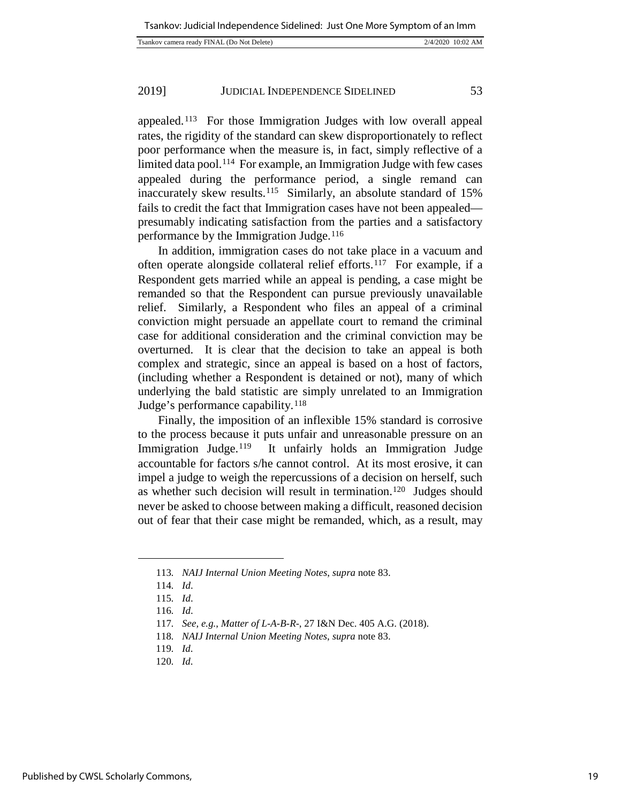appealed.[113](#page-19-0) For those Immigration Judges with low overall appeal rates, the rigidity of the standard can skew disproportionately to reflect poor performance when the measure is, in fact, simply reflective of a limited data pool.[114](#page-19-1) For example, an Immigration Judge with few cases appealed during the performance period, a single remand can inaccurately skew results.<sup>115</sup> Similarly, an absolute standard of 15% fails to credit the fact that Immigration cases have not been appealed presumably indicating satisfaction from the parties and a satisfactory performance by the Immigration Judge.<sup>[116](#page-19-3)</sup>

In addition, immigration cases do not take place in a vacuum and often operate alongside collateral relief efforts.<sup>[117](#page-19-4)</sup> For example, if a Respondent gets married while an appeal is pending, a case might be remanded so that the Respondent can pursue previously unavailable relief. Similarly, a Respondent who files an appeal of a criminal conviction might persuade an appellate court to remand the criminal case for additional consideration and the criminal conviction may be overturned. It is clear that the decision to take an appeal is both complex and strategic, since an appeal is based on a host of factors, (including whether a Respondent is detained or not), many of which underlying the bald statistic are simply unrelated to an Immigration Judge's performance capability.[118](#page-19-5)

Finally, the imposition of an inflexible 15% standard is corrosive to the process because it puts unfair and unreasonable pressure on an Immigration Judge.<sup>119</sup> It unfairly holds an Immigration Judge accountable for factors s/he cannot control. At its most erosive, it can impel a judge to weigh the repercussions of a decision on herself, such as whether such decision will result in termination[.120](#page-19-7) Judges should never be asked to choose between making a difficult, reasoned decision out of fear that their case might be remanded, which, as a result, may

<span id="page-19-4"></span><span id="page-19-3"></span><span id="page-19-2"></span><span id="page-19-1"></span><span id="page-19-0"></span>j

<sup>113</sup>*. NAIJ Internal Union Meeting Notes*, *supra* note 83.

<sup>114</sup>*. Id*.

<sup>115</sup>*. Id*.

<sup>116</sup>*. Id*.

<sup>117</sup>*. See, e.g.*, *Matter of L-A-B-R-*, 27 I&N Dec. 405 A.G. (2018).

<sup>118</sup>*. NAIJ Internal Union Meeting Notes*, *supra* note 83.

<span id="page-19-7"></span><span id="page-19-6"></span><span id="page-19-5"></span><sup>119</sup>*. Id*.

<sup>120</sup>*. Id*.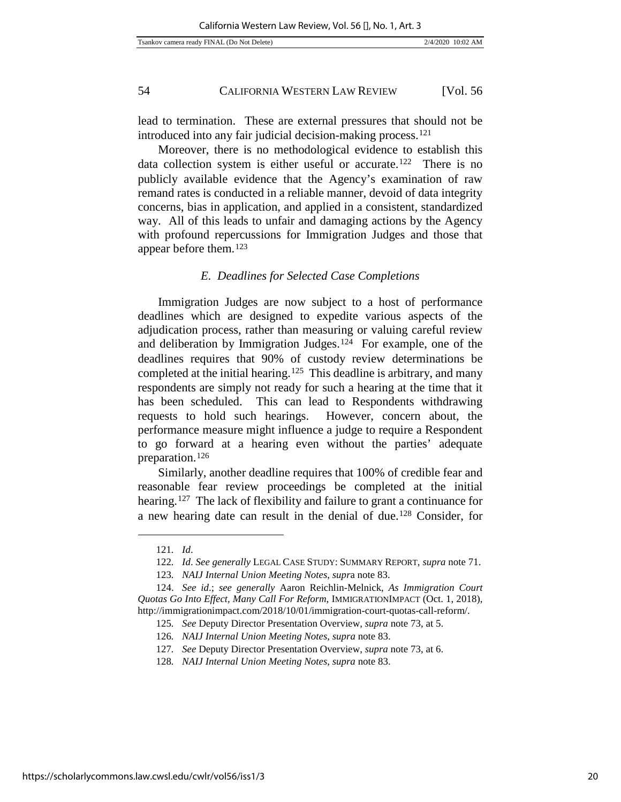lead to termination. These are external pressures that should not be introduced into any fair judicial decision-making process.<sup>[121](#page-20-0)</sup>

Moreover, there is no methodological evidence to establish this data collection system is either useful or accurate.[122](#page-20-1) There is no publicly available evidence that the Agency's examination of raw remand rates is conducted in a reliable manner, devoid of data integrity concerns, bias in application, and applied in a consistent, standardized way. All of this leads to unfair and damaging actions by the Agency with profound repercussions for Immigration Judges and those that appear before them.[123](#page-20-2)

## *E. Deadlines for Selected Case Completions*

Immigration Judges are now subject to a host of performance deadlines which are designed to expedite various aspects of the adjudication process, rather than measuring or valuing careful review and deliberation by Immigration Judges.[124](#page-20-3) For example, one of the deadlines requires that 90% of custody review determinations be completed at the initial hearing.<sup>125</sup> This deadline is arbitrary, and many respondents are simply not ready for such a hearing at the time that it has been scheduled. This can lead to Respondents withdrawing requests to hold such hearings. However, concern about, the performance measure might influence a judge to require a Respondent to go forward at a hearing even without the parties' adequate preparation.[126](#page-20-5)

Similarly, another deadline requires that 100% of credible fear and reasonable fear review proceedings be completed at the initial hearing.<sup>127</sup> The lack of flexibility and failure to grant a continuance for a new hearing date can result in the denial of due.[128](#page-20-7) Consider, for

<sup>121</sup>*. Id*.

<sup>122</sup>*. Id*. *See generally* LEGAL CASE STUDY: SUMMARY REPORT, *supra* note 71.

<sup>123</sup>*. NAIJ Internal Union Meeting Notes*, *supr*a note 83.

<span id="page-20-7"></span><span id="page-20-6"></span><span id="page-20-5"></span><span id="page-20-4"></span><span id="page-20-3"></span><span id="page-20-2"></span><span id="page-20-1"></span><span id="page-20-0"></span><sup>124.</sup> *See id*.; *see generally* [Aaron Reichlin-Melnick,](http://immigrationimpact.com/2018/10/01/immigration-court-quotas-call-reform/) *As Immigration Court Quotas Go Into Effect, Many Call For Reform*, IMMIGRATIONIMPACT (Oct. 1, 2018), http://immigrationimpact.com/2018/10/01/immigration-court-quotas-call-reform/.

<sup>125</sup>*. See* Deputy Director Presentation Overview, *supra* note 73, at 5.

<sup>126</sup>*. NAIJ Internal Union Meeting Notes*, *supra* note 83.

<sup>127</sup>*. See* Deputy Director Presentation Overview, *supra* note 73, at 6.

<sup>128</sup>*. NAIJ Internal Union Meeting Notes*, *supra* note 83.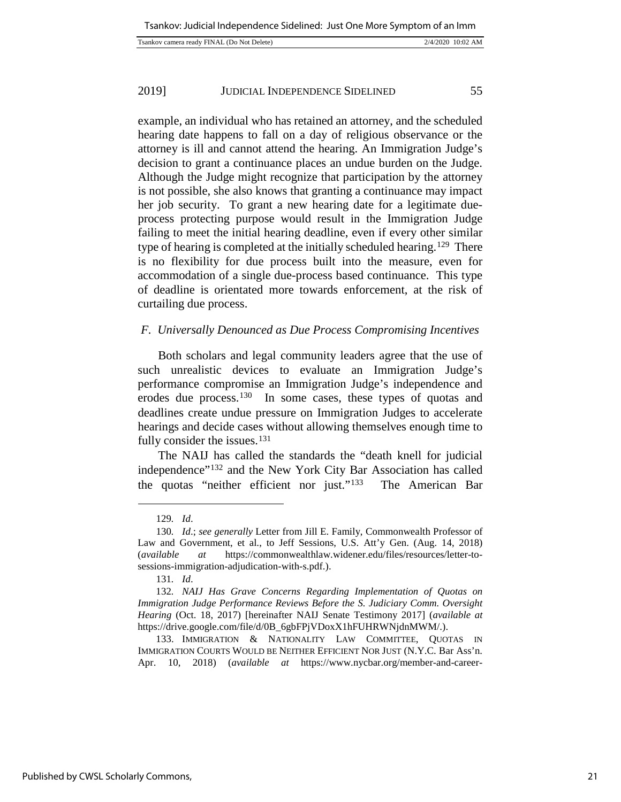| Tsankov camera ready FINAL (Do Not Delete) | 2/4/2020 10:02 AM |
|--------------------------------------------|-------------------|
|                                            |                   |

example, an individual who has retained an attorney, and the scheduled hearing date happens to fall on a day of religious observance or the attorney is ill and cannot attend the hearing. An Immigration Judge's decision to grant a continuance places an undue burden on the Judge. Although the Judge might recognize that participation by the attorney is not possible, she also knows that granting a continuance may impact her job security. To grant a new hearing date for a legitimate dueprocess protecting purpose would result in the Immigration Judge failing to meet the initial hearing deadline, even if every other similar type of hearing is completed at the initially scheduled hearing.<sup>[129](#page-21-0)</sup> There is no flexibility for due process built into the measure, even for accommodation of a single due-process based continuance. This type of deadline is orientated more towards enforcement, at the risk of curtailing due process.

## *F. Universally Denounced as Due Process Compromising Incentives*

Both scholars and legal community leaders agree that the use of such unrealistic devices to evaluate an Immigration Judge's performance compromise an Immigration Judge's independence and erodes due process.[130](#page-21-1) In some cases, these types of quotas and deadlines create undue pressure on Immigration Judges to accelerate hearings and decide cases without allowing themselves enough time to fully consider the issues.<sup>[131](#page-21-2)</sup>

The NAIJ has called the standards the "death knell for judicial independence"[132](#page-21-3) and the New York City Bar Association has called the quotas "neither efficient nor just."[133](#page-21-4) The American Bar

l

<sup>129</sup>*. Id*.

<span id="page-21-1"></span><span id="page-21-0"></span><sup>130</sup>*. Id*.; *see generally* Letter from Jill E. Family, Commonwealth Professor of Law and Government, et al., to Jeff Sessions, U.S. Att'y Gen. (Aug. 14, 2018) (*available at* [https://commonwealthlaw.widener.edu/files/resources/letter-to](https://commonwealthlaw.widener.edu/files/resources/letter-to-sessions-immigration-adjudication-with-s.pdf)[sessions-immigration-adjudication-with-s.pdf.\)](https://commonwealthlaw.widener.edu/files/resources/letter-to-sessions-immigration-adjudication-with-s.pdf).

<sup>131</sup>*. Id*.

<span id="page-21-3"></span><span id="page-21-2"></span><sup>132</sup>*. NAIJ Has Grave Concerns Regarding Implementation of Quotas on Immigration Judge Performance Reviews Before the S. Judiciary Comm. Oversight Hearing* (Oct. 18, 2017) [hereinafter NAIJ Senate Testimony 2017] [\(](https://www.lexisnexis.com/legalnewsroom/immigration/b/immigration-law-blog/posts/immigration-judge-quotas-a-39-death-knell-39-for-due-process-judicial-independence-naij)*available at* [https://drive.google.com/file/d/0B\\_6gbFPjVDoxX1hFUHRWNjdnMWM/.](https://drive.google.com/file/d/0B_6gbFPjVDoxX1hFUHRWNjdnMWM/)).

<span id="page-21-4"></span><sup>133.</sup> IMMIGRATION & NATIONALITY LAW COMMITTEE, QUOTAS IN IMMIGRATION COURTS WOULD BE NEITHER EFFICIENT NOR JUST (N.Y.C. Bar Ass'n. Apr. 10, 2018) (*available at* [https://www.nycbar.org/member-and-career-](https://www.nycbar.org/member-and-career-services/committees/reports-listing/reports/detail/quotas-in-immigration-courts-would-be-neither-efficient-nor-just)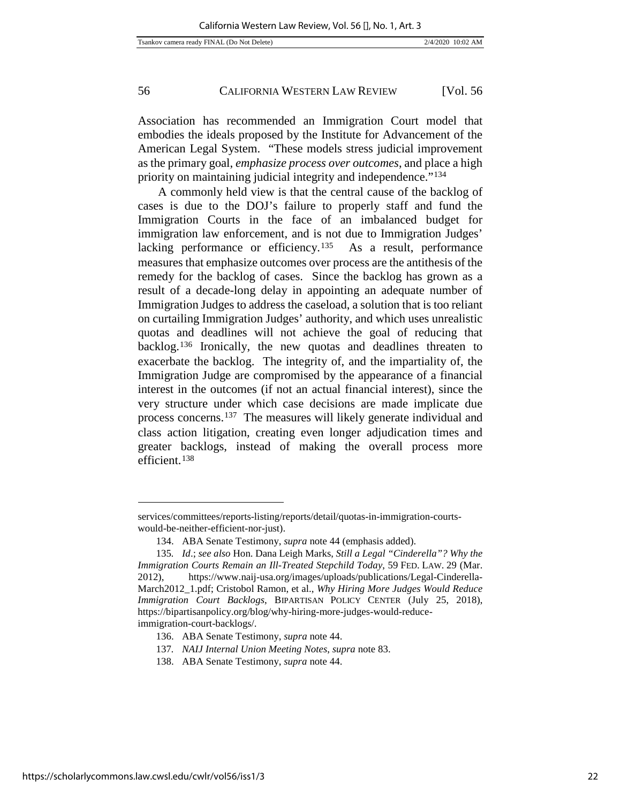Association has recommended an Immigration Court model that embodies the ideals proposed by the Institute for Advancement of the American Legal System. "These models stress judicial improvement as the primary goal, *emphasize process over outcomes*, and place a high priority on maintaining judicial integrity and independence."[134](#page-22-0)

A commonly held view is that the central cause of the backlog of cases is due to the DOJ's failure to properly staff and fund the Immigration Courts in the face of an imbalanced budget for immigration law enforcement, and is not due to Immigration Judges' lacking performance or efficiency.<sup>135</sup> As a result, performance measures that emphasize outcomes over process are the antithesis of the remedy for the backlog of cases. Since the backlog has grown as a result of a decade-long delay in appointing an adequate number of Immigration Judges to address the caseload, a solution that is too reliant on curtailing Immigration Judges' authority, and which uses unrealistic quotas and deadlines will not achieve the goal of reducing that backlog.[136](#page-22-2) Ironically, the new quotas and deadlines threaten to exacerbate the backlog. The integrity of, and the impartiality of, the Immigration Judge are compromised by the appearance of a financial interest in the outcomes (if not an actual financial interest), since the very structure under which case decisions are made implicate due process concerns.[137](#page-22-3) The measures will likely generate individual and class action litigation, creating even longer adjudication times and greater backlogs, instead of making the overall process more efficient.[138](#page-22-4)

<span id="page-22-4"></span>137*. NAIJ Internal Union Meeting Notes*, *supra* note 83.

[services/committees/reports-listing/reports/detail/quotas-in-immigration-courts](https://www.nycbar.org/member-and-career-services/committees/reports-listing/reports/detail/quotas-in-immigration-courts-would-be-neither-efficient-nor-just)[would-be-neither-efficient-nor-just\)](https://www.nycbar.org/member-and-career-services/committees/reports-listing/reports/detail/quotas-in-immigration-courts-would-be-neither-efficient-nor-just).

<sup>134.</sup> ABA Senate Testimony, *supra* note 44 (emphasis added).

<span id="page-22-1"></span><span id="page-22-0"></span><sup>135</sup>*. Id*.; *see also* Hon. Dana Leigh Marks, *Still a Legal "Cinderella"? Why the Immigration Courts Remain an Ill-Treated Stepchild Today*, 59 FED. LAW. 29 (Mar. 2012), [https://www.naij-usa.org/images/uploads/publications/Legal-Cinderella-](https://www.naij-usa.org/images/uploads/publications/Legal-Cinderella-March2012_1.pdf)[March2012\\_1.pdf;](https://www.naij-usa.org/images/uploads/publications/Legal-Cinderella-March2012_1.pdf) Cristobol Ramon, et al., *Why Hiring More Judges Would Reduce Immigration Court Backlogs*, BIPARTISAN POLICY CENTER (July 25, 2018), [https://bipartisanpolicy.org/blog/why-hiring-more-judges-would-reduce](https://bipartisanpolicy.org/blog/why-hiring-more-judges-would-reduce-immigration-court-backlogs/)[immigration-court-backlogs/.](https://bipartisanpolicy.org/blog/why-hiring-more-judges-would-reduce-immigration-court-backlogs/)

<span id="page-22-3"></span><span id="page-22-2"></span><sup>136.</sup> ABA Senate Testimony, *supra* note 44.

<sup>138.</sup> ABA Senate Testimony, *supra* note 44.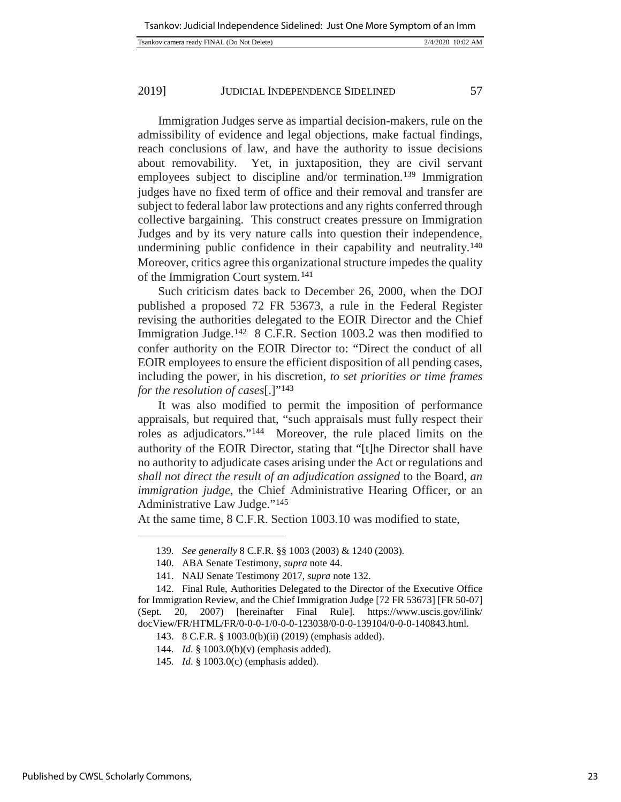|--|

Immigration Judges serve as impartial decision-makers, rule on the admissibility of evidence and legal objections, make factual findings, reach conclusions of law, and have the authority to issue decisions about removability. Yet, in juxtaposition, they are civil servant employees subject to discipline and/or termination.<sup>[139](#page-23-0)</sup> Immigration judges have no fixed term of office and their removal and transfer are subject to federal labor law protections and any rights conferred through collective bargaining. This construct creates pressure on Immigration Judges and by its very nature calls into question their independence, undermining public confidence in their capability and neutrality.<sup>140</sup> Moreover, critics agree this organizational structure impedes the quality of the Immigration Court system.[141](#page-23-2)

Such criticism dates back to December 26, 2000, when the DOJ published a proposed 72 FR 53673, a rule in the Federal Register revising the authorities delegated to the EOIR Director and the Chief Immigration Judge.[142](#page-23-3) 8 C.F.R. Section 1003.2 was then modified to confer authority on the EOIR Director to: "Direct the conduct of all EOIR employees to ensure the efficient disposition of all pending cases, including the power, in his discretion, *to set priorities or time frames for the resolution of cases*[.]["143](#page-23-4)

It was also modified to permit the imposition of performance appraisals, but required that, "such appraisals must fully respect their roles as adjudicators."[144](#page-23-5) Moreover, the rule placed limits on the authority of the EOIR Director, stating that "[t]he Director shall have no authority to adjudicate cases arising under the Act or regulations and *shall not direct the result of an adjudication assigned* to the Board, *an immigration judge*, the Chief Administrative Hearing Officer, or an Administrative Law Judge."[145](#page-23-6)

At the same time, 8 C.F.R. Section 1003.10 was modified to state,

<span id="page-23-0"></span>l

<sup>139</sup>*. See generally* 8 C.F.R. §§ 1003 (2003) & 1240 (2003).

<sup>140.</sup> ABA Senate Testimony, *supra* note 44.

<sup>141.</sup> NAIJ Senate Testimony 2017*, supra* note 132.

<span id="page-23-5"></span><span id="page-23-4"></span><span id="page-23-3"></span><span id="page-23-2"></span><span id="page-23-1"></span><sup>142.</sup> Final Rule, Authorities Delegated to the Director of the Executive Office for Immigration Review, and the Chief Immigration Judge [72 FR 53673] [FR 50-07] (Sept. 20, 2007) [hereinafter Final Rule]. https://www.uscis.gov/ilink/ docView/FR/HTML/FR/0-0-0-1/0-0-0-123038/0-0-0-139104/0-0-0-140843.html.

<sup>143.</sup> 8 C.F.R. § 1003.0(b)(ii) (2019) (emphasis added).

<sup>144</sup>*. Id*. § 1003.0(b)(v) (emphasis added).

<span id="page-23-6"></span><sup>145</sup>*. Id*. § 1003.0(c) (emphasis added).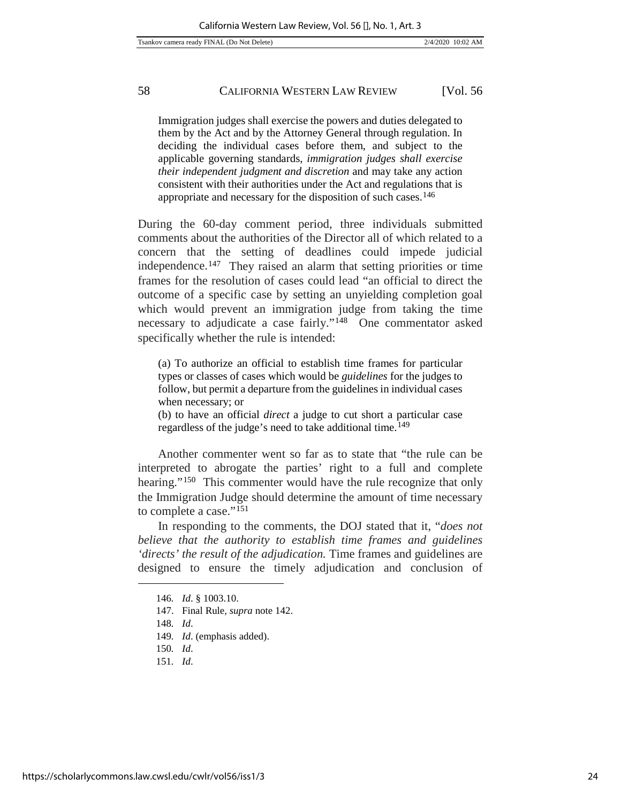Immigration judges shall exercise the powers and duties delegated to them by the Act and by the Attorney General through regulation. In deciding the individual cases before them, and subject to the applicable governing standards, *immigration judges shall exercise their independent judgment and discretion* and may take any action consistent with their authorities under the Act and regulations that is appropriate and necessary for the disposition of such cases. [146](#page-24-0)

During the 60-day comment period, three individuals submitted comments about the authorities of the Director all of which related to a concern that the setting of deadlines could impede judicial independence.[147](#page-24-1) They raised an alarm that setting priorities or time frames for the resolution of cases could lead "an official to direct the outcome of a specific case by setting an unyielding completion goal which would prevent an immigration judge from taking the time necessary to adjudicate a case fairly."[148](#page-24-2) One commentator asked specifically whether the rule is intended:

(a) To authorize an official to establish time frames for particular types or classes of cases which would be *guidelines* for the judges to follow, but permit a departure from the guidelines in individual cases when necessary; or

(b) to have an official *direct* a judge to cut short a particular case regardless of the judge's need to take additional time.[149](#page-24-3)

Another commenter went so far as to state that "the rule can be interpreted to abrogate the parties' right to a full and complete hearing."<sup>[150](#page-24-4)</sup> This commenter would have the rule recognize that only the Immigration Judge should determine the amount of time necessary to complete a case."[151](#page-24-5)

<span id="page-24-0"></span>In responding to the comments, the DOJ stated that it, "*does not believe that the authority to establish time frames and guidelines 'directs' the result of the adjudication.* Time frames and guidelines are designed to ensure the timely adjudication and conclusion of

151*. Id*.

<sup>146</sup>*. Id*. § 1003.10.

<span id="page-24-2"></span><span id="page-24-1"></span><sup>147.</sup> Final Rule*, supra* note 142.

<sup>148</sup>*. Id*.

<sup>149</sup>*. Id*. (emphasis added).

<span id="page-24-5"></span><span id="page-24-4"></span><span id="page-24-3"></span><sup>150</sup>*. Id*.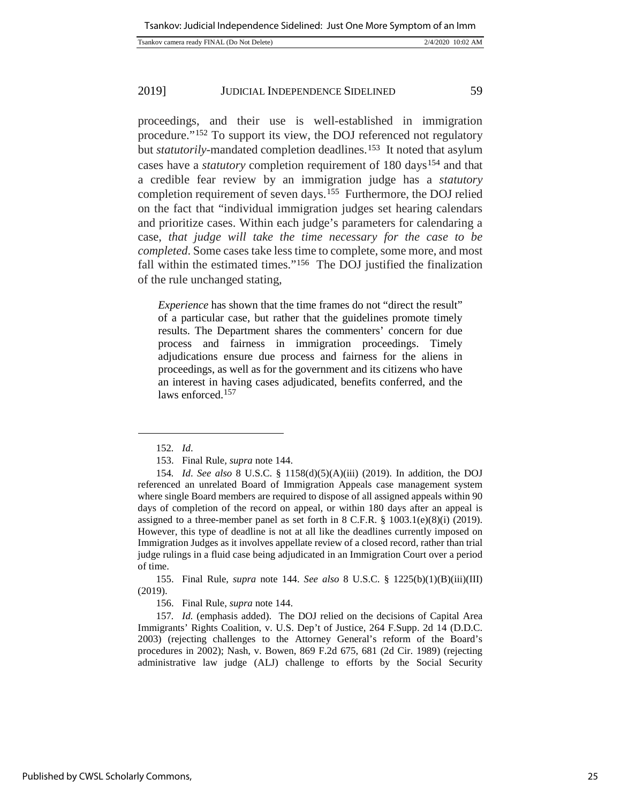| Tsankov camera ready FINAL (Do Not Delete) | 2/4/2020 10:02 AM |
|--------------------------------------------|-------------------|
|                                            |                   |

proceedings, and their use is well-established in immigration procedure."[152](#page-25-0) To support its view, the DOJ referenced not regulatory but *statutorily*-mandated completion deadlines.<sup>[153](#page-25-1)</sup> It noted that asylum cases have a *statutory* completion requirement of 180 days<sup>[154](#page-25-2)</sup> and that a credible fear review by an immigration judge has a *statutory* completion requirement of seven days.[155](#page-25-3) Furthermore, the DOJ relied on the fact that "individual immigration judges set hearing calendars and prioritize cases. Within each judge's parameters for calendaring a case, *that judge will take the time necessary for the case to be completed*. Some cases take less time to complete, some more, and most fall within the estimated times."[156](#page-25-4) The DOJ justified the finalization of the rule unchanged stating,

*Experience* has shown that the time frames do not "direct the result" of a particular case, but rather that the guidelines promote timely results. The Department shares the commenters' concern for due process and fairness in immigration proceedings. Timely adjudications ensure due process and fairness for the aliens in proceedings, as well as for the government and its citizens who have an interest in having cases adjudicated, benefits conferred, and the laws enforced.<sup>[157](#page-25-5)</sup>

<sup>152</sup>*. Id*.

<sup>153.</sup> Final Rule*, supra* note 144.

<span id="page-25-2"></span><span id="page-25-1"></span><span id="page-25-0"></span><sup>154</sup>*. Id*. *See also* 8 U.S.C. § 1158(d)(5)(A)(iii) (2019). In addition, the DOJ referenced an unrelated Board of Immigration Appeals case management system where single Board members are required to dispose of all assigned appeals within 90 days of completion of the record on appeal, or within 180 days after an appeal is assigned to a three-member panel as set forth in 8 C.F.R. § 1003.1(e)(8)(i) (2019). However, this type of deadline is not at all like the deadlines currently imposed on Immigration Judges as it involves appellate review of a closed record, rather than trial judge rulings in a fluid case being adjudicated in an Immigration Court over a period of time.

<span id="page-25-3"></span><sup>155.</sup> Final Rule, *supra* note 144. *See also* 8 U.S.C. § 1225(b)(1)(B)(iii)(III) (2019).

<sup>156.</sup> Final Rule, *supra* note 144.

<span id="page-25-5"></span><span id="page-25-4"></span><sup>157</sup>*. Id.* (emphasis added). The DOJ relied on the decisions of Capital Area Immigrants' Rights Coalition, v. U.S. Dep't of Justice, 264 F.Supp. 2d 14 (D.D.C. 2003) (rejecting challenges to the Attorney General's reform of the Board's procedures in 2002); Nash, v. Bowen, 869 F.2d 675, 681 (2d Cir. 1989) (rejecting administrative law judge (ALJ) challenge to efforts by the Social Security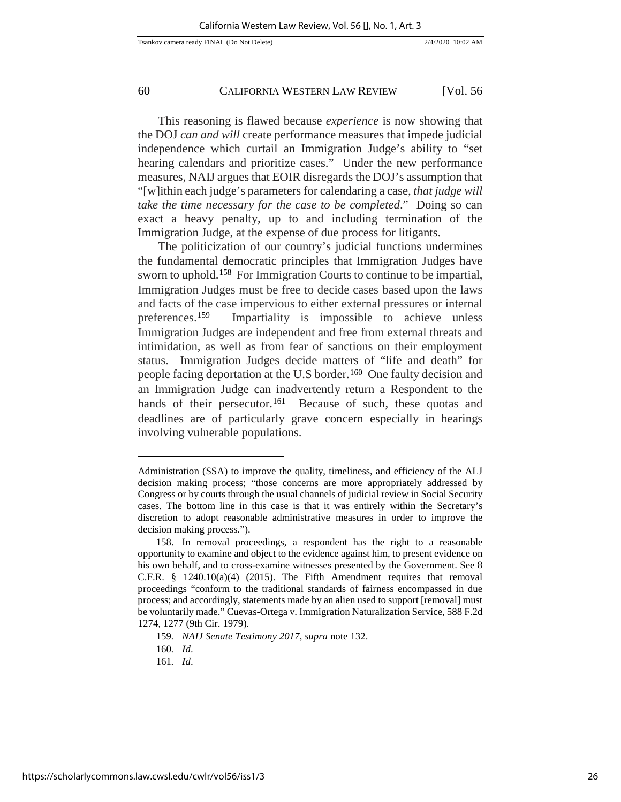This reasoning is flawed because *experience* is now showing that the DOJ *can and will* create performance measures that impede judicial independence which curtail an Immigration Judge's ability to "set hearing calendars and prioritize cases." Under the new performance measures, NAIJ argues that EOIR disregards the DOJ's assumption that "[w]ithin each judge's parameters for calendaring a case, *that judge will take the time necessary for the case to be completed*." Doing so can exact a heavy penalty, up to and including termination of the Immigration Judge, at the expense of due process for litigants.

The politicization of our country's judicial functions undermines the fundamental democratic principles that Immigration Judges have sworn to uphold.[158](#page-26-0) For Immigration Courts to continue to be impartial, Immigration Judges must be free to decide cases based upon the laws and facts of the case impervious to either external pressures or internal preferences.[159](#page-26-1) Impartiality is impossible to achieve unless Immigration Judges are independent and free from external threats and intimidation, as well as from fear of sanctions on their employment status. Immigration Judges decide matters of "life and death" for people facing deportation at the U.S border.[160](#page-26-2) One faulty decision and an Immigration Judge can inadvertently return a Respondent to the hands of their persecutor.<sup>161</sup> Because of such, these quotas and deadlines are of particularly grave concern especially in hearings involving vulnerable populations.

Administration (SSA) to improve the quality, timeliness, and efficiency of the ALJ decision making process; "those concerns are more appropriately addressed by Congress or by courts through the usual channels of judicial review in Social Security cases. The bottom line in this case is that it was entirely within the Secretary's discretion to adopt reasonable administrative measures in order to improve the decision making process.").

<span id="page-26-0"></span><sup>158.</sup> In removal proceedings, a respondent has the right to a reasonable opportunity to examine and object to the evidence against him, to present evidence on his own behalf, and to cross-examine witnesses presented by the Government. See 8 C.F.R.  $\S$  1240.10(a)(4) (2015). The Fifth Amendment requires that removal proceedings "conform to the traditional standards of fairness encompassed in due process; and accordingly, statements made by an alien used to support [removal] must be voluntarily made." Cuevas-Ortega v. Immigration Naturalization Service, 588 F.2d 1274, 1277 (9th Cir. 1979).

<sup>159</sup>*. NAIJ Senate Testimony 2017*, *supra* note 132.

<span id="page-26-3"></span><span id="page-26-2"></span><span id="page-26-1"></span><sup>160</sup>*. Id*.

<sup>161</sup>*. Id*.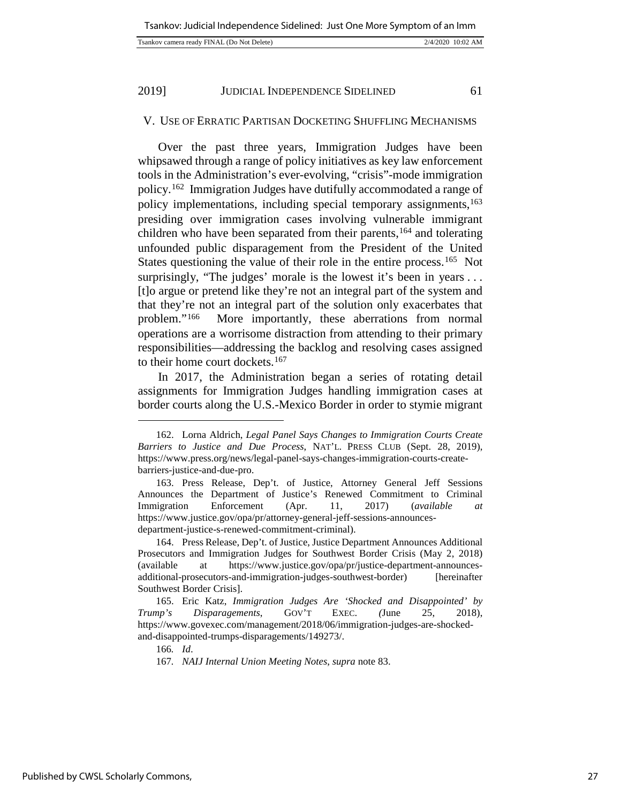## V. USE OF ERRATIC PARTISAN DOCKETING SHUFFLING MECHANISMS

Over the past three years, Immigration Judges have been whipsawed through a range of policy initiatives as key law enforcement tools in the Administration's ever-evolving, "crisis"-mode immigration policy.[162](#page-27-0) Immigration Judges have dutifully accommodated a range of policy implementations, including special temporary assignments,<sup>[163](#page-27-1)</sup> presiding over immigration cases involving vulnerable immigrant children who have been separated from their parents,<sup>[164](#page-27-2)</sup> and tolerating unfounded public disparagement from the President of the United States questioning the value of their role in the entire process.<sup>165</sup> Not surprisingly, "The judges' morale is the lowest it's been in years ... [t]o argue or pretend like they're not an integral part of the system and that they're not an integral part of the solution only exacerbates that problem."[166](#page-27-4) More importantly, these aberrations from normal operations are a worrisome distraction from attending to their primary responsibilities—addressing the backlog and resolving cases assigned to their home court dockets.[167](#page-27-5)

In 2017, the Administration began a series of rotating detail assignments for Immigration Judges handling immigration cases at border courts along the U.S.-Mexico Border in order to stymie migrant

166*. Id*.

l

<span id="page-27-0"></span><sup>162.</sup> Lorna Aldrich, *Legal Panel Says Changes to Immigration Courts Create Barriers to Justice and Due Process*, NAT'L. PRESS CLUB (Sept. 28, 2019), https://www.press.org/news/legal-panel-says-changes-immigration-courts-createbarriers-justice-and-due-pro.

<span id="page-27-1"></span><sup>163.</sup> Press Release, Dep't. of Justice, Attorney General Jeff Sessions Announces the Department of Justice's Renewed Commitment to Criminal Immigration Enforcement (Apr. 11, 2017) (*available at* https://www.justice.gov/opa/pr/attorney-general-jeff-sessions-announcesdepartment-justice-s-renewed-commitment-criminal).

<span id="page-27-2"></span><sup>164.</sup> Press Release, Dep't. of Justice, Justice Department Announces Additional Prosecutors and Immigration Judges for Southwest Border Crisis (May 2, 2018) (available at [https://www.justice.gov/opa/pr/justice-department-announces](https://www.justice.gov/opa/pr/justice-department-announces-additional-prosecutors-and-immigration-judges-southwest-border)[additional-prosecutors-and-immigration-judges-southwest-border\)](https://www.justice.gov/opa/pr/justice-department-announces-additional-prosecutors-and-immigration-judges-southwest-border) [hereinafter Southwest Border Crisis].

<span id="page-27-5"></span><span id="page-27-4"></span><span id="page-27-3"></span><sup>165.</sup> Eric Katz, *Immigration Judges Are 'Shocked and Disappointed' by Trump's Disparagements*, GOV'T EXEC. *(*June 25, 2018), https://www.govexec.com/management/2018/06/immigration-judges-are-shockedand-disappointed-trumps-disparagements/149273/.

<sup>167</sup>*. NAIJ Internal Union Meeting Notes*, *supra* note 83.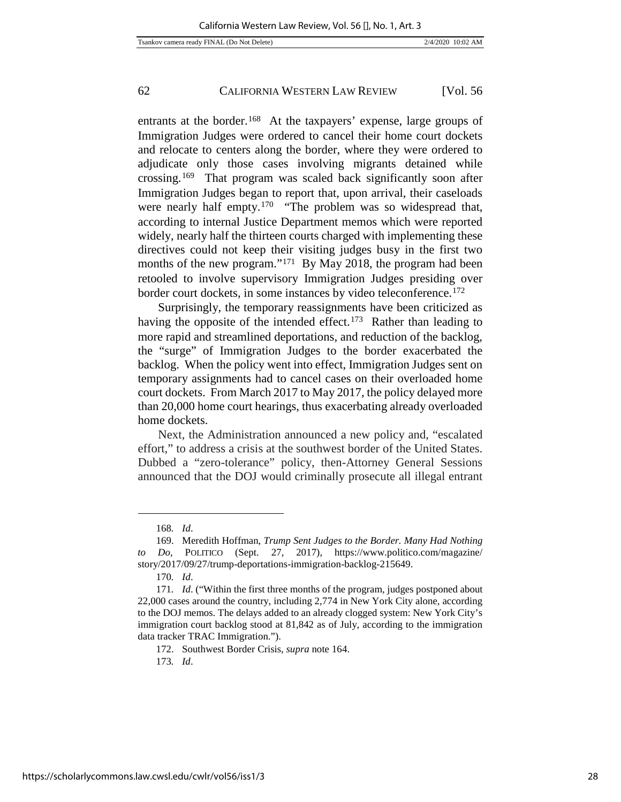entrants at the border.<sup>[168](#page-28-0)</sup> At the taxpayers' expense, large groups of Immigration Judges were ordered to cancel their home court dockets and relocate to centers along the border, where they were ordered to adjudicate only those cases involving migrants detained while crossing.[169](#page-28-1) That program was scaled back significantly soon after Immigration Judges began to report that, upon arrival, their caseloads were nearly half empty.<sup>170</sup> "The problem was so widespread that, according to internal Justice Department memos which were reported widely, nearly half the thirteen courts charged with implementing these directives could not keep their visiting judges busy in the first two months of the new program."<sup>[171](#page-28-3)</sup> By May 2018, the program had been retooled to involve supervisory Immigration Judges presiding over border court dockets, in some instances by video teleconference.<sup>[172](#page-28-4)</sup>

Surprisingly, the temporary reassignments have been criticized as having the opposite of the intended effect.<sup>[173](#page-28-5)</sup> Rather than leading to more rapid and streamlined deportations, and reduction of the backlog, the "surge" of Immigration Judges to the border exacerbated the backlog. When the policy went into effect, Immigration Judges sent on temporary assignments had to cancel cases on their overloaded home court dockets. From March 2017 to May 2017, the policy delayed more than 20,000 home court hearings, thus exacerbating already overloaded home dockets.

Next, the Administration announced a new policy and, "escalated effort," to address a crisis at the southwest border of the United States. Dubbed a "zero-tolerance" policy, then-Attorney General Sessions announced that the DOJ would criminally prosecute all illegal entrant

-

172. Southwest Border Crisis, *supra* note 164.

173*. Id*.

<sup>168</sup>*. Id*.

<span id="page-28-1"></span><span id="page-28-0"></span><sup>169.</sup> Meredith Hoffman, *Trump Sent Judges to the Border. Many Had Nothing to Do*, POLITICO (Sept. 27, 2017), https://www.politico.com/magazine/ story/2017/09/27/trump-deportations-immigration-backlog-215649.

<sup>170</sup>*. Id*.

<span id="page-28-5"></span><span id="page-28-4"></span><span id="page-28-3"></span><span id="page-28-2"></span><sup>171</sup>*. Id*. ("Within the first three months of the program, judges postponed about 22,000 cases around the country, including 2,774 in New York City alone, according to the DOJ memos. The delays added to an already clogged system: New York City's immigration court backlog stood at 81,842 as of July, according to the immigration data tracker TRAC Immigration.").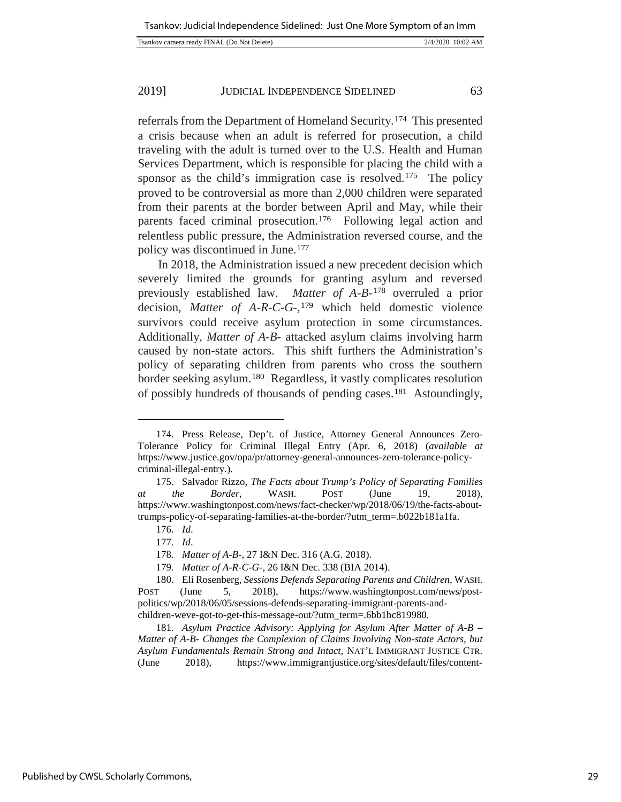|--|

referrals from the Department of Homeland Security.[174](#page-29-0) This presented a crisis because when an adult is referred for prosecution, a child traveling with the adult is turned over to the U.S. Health and Human Services Department, which is responsible for placing the child with a sponsor as the child's immigration case is resolved.<sup>175</sup> The policy proved to be controversial as more than 2,000 children were separated from their parents at the border between April and May, while their parents faced criminal prosecution.<sup>176</sup> Following legal action and relentless public pressure, the Administration reversed course, and the policy was discontinued in June.[177](#page-29-3)

In 2018, the Administration issued a new precedent decision which severely limited the grounds for granting asylum and reversed previously established law. *Matter of A-B-*[178](#page-29-4) overruled a prior decision, *Matter of A-R-C-G-,*[179](#page-29-5) which held domestic violence survivors could receive asylum protection in some circumstances. Additionally, *Matter of A-B-* attacked asylum claims involving harm caused by non-state actors. This shift furthers the Administration's [policy](https://www.washingtonpost.com/news/post-politics/wp/2018/06/05/sessions-defends-separating-immigrant-parents-and-children-weve-got-to-get-this-message-out/?utm_term=.5a312d1e321e) of separating children from parents who cross the southern border seeking asylum.[180](#page-29-6) Regardless, it vastly complicates resolution of possibly hundreds of thousands of pending cases.[181](#page-29-7) Astoundingly,

<span id="page-29-0"></span><sup>174.</sup> Press Release, Dep't. of Justice, Attorney General Announces Zero-Tolerance Policy for Criminal Illegal Entry (Apr. 6, 2018) (*available at* [https://www.justice.gov/opa/pr/attorney-general-announces-zero-tolerance-policy](https://www.justice.gov/opa/pr/attorney-general-announces-zero-tolerance-policy-criminal-illegal-entry)[criminal-illegal-entry.\)](https://www.justice.gov/opa/pr/attorney-general-announces-zero-tolerance-policy-criminal-illegal-entry).

<span id="page-29-2"></span><span id="page-29-1"></span><sup>175.</sup> Salvador Rizzo, *The Facts about Trump's Policy of Separating Families at the Border*, WASH. POST (June 19, 2018), [https://www.washingtonpost.com/news/fact-checker/wp/2018/06/19/the-facts-about](https://www.washingtonpost.com/news/fact-checker/wp/2018/06/19/the-facts-about-trumps-policy-of-separating-families-at-the-border/?utm_term=.b022b181a1fa)[trumps-policy-of-separating-families-at-the-border/?utm\\_term=.b022b181a1fa.](https://www.washingtonpost.com/news/fact-checker/wp/2018/06/19/the-facts-about-trumps-policy-of-separating-families-at-the-border/?utm_term=.b022b181a1fa)

<sup>176</sup>*. Id*.

<sup>177</sup>*. Id*.

<sup>178</sup>*. Matter of A-B-*, 27 I&N Dec. 316 (A.G. 2018).

<sup>179</sup>*. Matter of A-R-C-G-*, 26 I&N Dec. 338 (BIA 2014).

<span id="page-29-6"></span><span id="page-29-5"></span><span id="page-29-4"></span><span id="page-29-3"></span><sup>180.</sup> Eli Rosenberg, *Sessions Defends Separating Parents and Children,* WASH. POST (June 5, 2018), [https://www.washingtonpost.com/news/post](https://www.washingtonpost.com/news/post-politics/wp/2018/06/05/sessions-defends-separating-immigrant-parents-and-children-weve-got-to-get-this-message-out/?utm_term=.6bb1bc819980)[politics/wp/2018/06/05/sessions-defends-separating-immigrant-parents-and](https://www.washingtonpost.com/news/post-politics/wp/2018/06/05/sessions-defends-separating-immigrant-parents-and-children-weve-got-to-get-this-message-out/?utm_term=.6bb1bc819980)[children-weve-got-to-get-this-message-out/?utm\\_term=.6bb1bc819980](https://www.washingtonpost.com/news/post-politics/wp/2018/06/05/sessions-defends-separating-immigrant-parents-and-children-weve-got-to-get-this-message-out/?utm_term=.6bb1bc819980)*.*

<span id="page-29-7"></span><sup>181</sup>*. Asylum Practice Advisory: Applying for Asylum After Matter of A-B – Matter of A-B- Changes the Complexion of Claims Involving Non-state Actors, but Asylum Fundamentals Remain Strong and Intact*, NAT'L IMMIGRANT JUSTICE CTR. (June 2018), [https://www.immigrantjustice.org/sites/default/files/content-](https://www.immigrantjustice.org/sites/default/files/content-type/resource/documents/2018-06/Matter%20of%20A-B-%20Practice%20Advisory%20-%20Final%20-%206.21.18.pdf)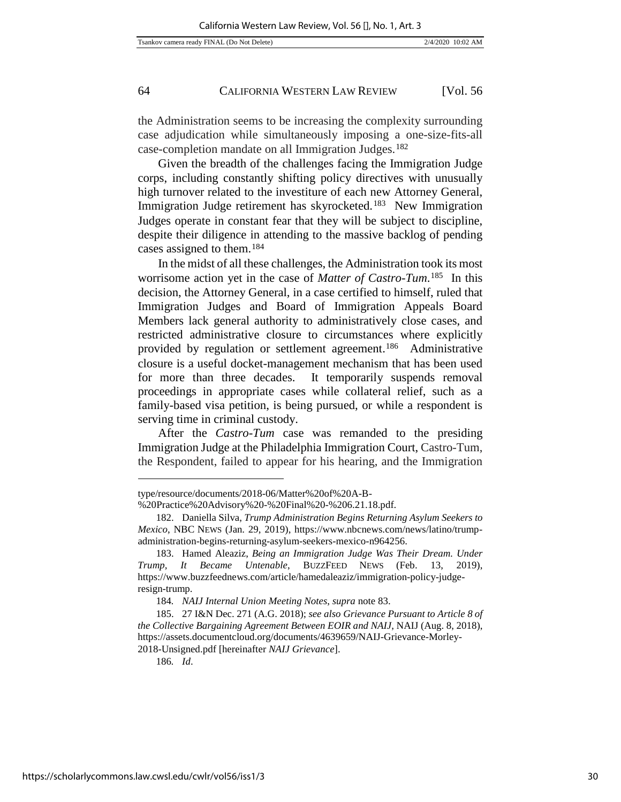the Administration seems to be increasing the complexity surrounding case adjudication while simultaneously imposing a one-size-fits-all [case-completion](http://cdn.cnn.com/cnn/2018/images/04/02/immigration-judges-memo.pdf) mandate on all Immigration Judges.[182](#page-30-0)

Given the breadth of the challenges facing the Immigration Judge corps, including constantly shifting policy directives with unusually high turnover related to the investiture of each new Attorney General, Immigration Judge retirement has skyrocketed.[183](#page-30-1) New Immigration Judges operate in constant fear that they will be subject to discipline, despite their diligence in attending to the massive backlog of pending cases assigned to them.[184](#page-30-2)

In the midst of all these challenges, the Administration took its most worrisome action yet in the case of *Matter of Castro-Tum*.[185](#page-30-3) In this decision, the Attorney General, in a case certified to himself, ruled that Immigration Judges and Board of Immigration Appeals Board Members lack general authority to administratively close cases, and restricted administrative closure to circumstances where explicitly provided by regulation or settlement agreement.[186](#page-30-4) Administrative closure is a useful docket-management mechanism that has been used for more than three decades. It temporarily suspends removal proceedings in appropriate cases while collateral relief, such as a family-based visa petition, is being pursued, or while a respondent is serving time in criminal custody.

After the *Castro-Tum* case was remanded to the presiding Immigration Judge at the Philadelphia Immigration Court, Castro-Tum, the Respondent, failed to appear for his hearing, and the Immigration

186*. Id*.

[type/resource/documents/2018-06/Matter%20of%20A-B-](https://www.immigrantjustice.org/sites/default/files/content-type/resource/documents/2018-06/Matter%20of%20A-B-%20Practice%20Advisory%20-%20Final%20-%206.21.18.pdf)

[<sup>%20</sup>Practice%20Advisory%20-%20Final%20-%206.21.18.pdf.](https://www.immigrantjustice.org/sites/default/files/content-type/resource/documents/2018-06/Matter%20of%20A-B-%20Practice%20Advisory%20-%20Final%20-%206.21.18.pdf) 

<span id="page-30-0"></span><sup>182.</sup> Daniella Silva, *Trump Administration Begins Returning Asylum Seekers to Mexico*, NBC NEWS (Jan. 29, 2019), [https://www.nbcnews.com/news/latino/trump](https://www.nbcnews.com/news/latino/trump-administration-begins-returning-asylum-seekers-mexico-n964256)[administration-begins-returning-asylum-seekers-mexico-n964256.](https://www.nbcnews.com/news/latino/trump-administration-begins-returning-asylum-seekers-mexico-n964256) 

<span id="page-30-1"></span><sup>183.</sup> Hamed Aleaziz, *Being an Immigration Judge Was Their Dream. Under Trump, It Became Untenable*, BUZZFEED NEWS (Feb. 13, 2019), https://www.buzzfeednews.com/article/hamedaleaziz/immigration-policy-judgeresign-trump.

<sup>184</sup>*. NAIJ Internal Union Meeting Notes*, *supra* note 83.

<span id="page-30-4"></span><span id="page-30-3"></span><span id="page-30-2"></span><sup>185.</sup> 27 I&N Dec. 271 (A.G. 2018); *see also Grievance Pursuant to Article 8 of the Collective Bargaining Agreement Between EOIR and NAIJ*, NAIJ (Aug. 8, 2018), [https://assets.documentcloud.org/documents/4639659/NAIJ-Grievance-Morley-](https://assets.documentcloud.org/documents/4639659/NAIJ-Grievance-Morley-2018-Unsigned.pdf)[2018-Unsigned.pdf](https://assets.documentcloud.org/documents/4639659/NAIJ-Grievance-Morley-2018-Unsigned.pdf) [hereinafter *NAIJ Grievance*].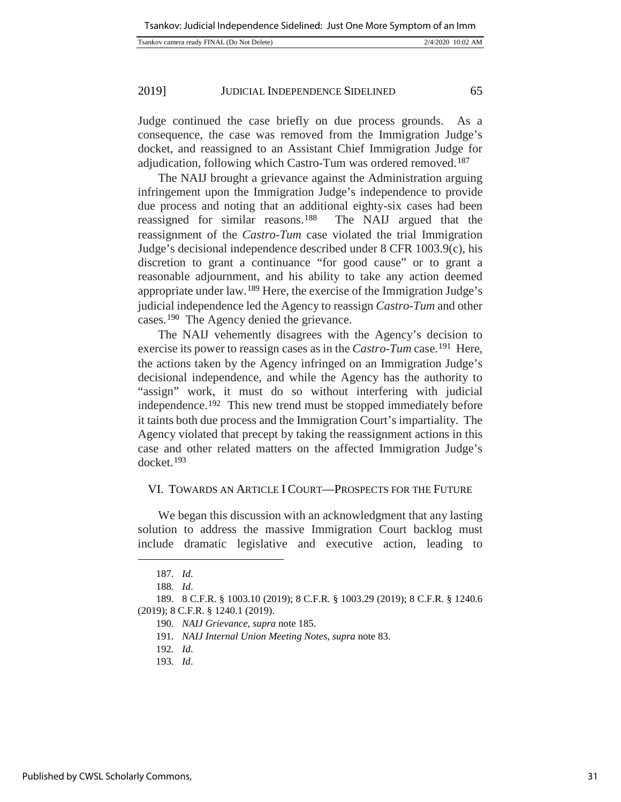| Tsankov camera ready FINAL (Do Not Delete) | 2/4/2020 10:02 AM |
|--------------------------------------------|-------------------|

Judge continued the case briefly on due process grounds. As a consequence, the case was removed from the Immigration Judge's docket, and reassigned to an Assistant Chief Immigration Judge for adjudication, following which Castro-Tum was ordered removed.<sup>[187](#page-31-0)</sup>

The NAIJ brought a grievance against the Administration arguing infringement upon the Immigration Judge's independence to provide due process and noting that an additional eighty-six cases had been reassigned for similar reasons.[188](#page-31-1) The NAIJ argued that the reassignment of the *Castro-Tum* case violated the trial Immigration Judge's decisional independence described under 8 CFR 1003.9(c), his discretion to grant a continuance "for good cause" or to grant a reasonable adjournment, and his ability to take any action deemed appropriate under law.[189](#page-31-2) Here, the exercise of the Immigration Judge's judicial independence led the Agency to reassign *Castro-Tum* and other cases.[190](#page-31-3) The Agency denied the grievance.

The NAIJ vehemently disagrees with the Agency's decision to exercise its power to reassign cases as in the *Castro-Tum* case.<sup>191</sup> Here, the actions taken by the Agency infringed on an Immigration Judge's decisional independence, and while the Agency has the authority to "assign" work, it must do so without interfering with judicial independence.[192](#page-31-5) This new trend must be stopped immediately before it taints both due process and the Immigration Court's impartiality. The Agency violated that precept by taking the reassignment actions in this case and other related matters on the affected Immigration Judge's docket.[193](#page-31-6)

## VI. TOWARDS AN ARTICLE I COURT—PROSPECTS FOR THE FUTURE

We began this discussion with an acknowledgment that any lasting solution to address the massive Immigration Court backlog must include dramatic legislative and executive action, leading to

<sup>187</sup>*. Id*.

<sup>188</sup>*. Id*.

<span id="page-31-6"></span><span id="page-31-5"></span><span id="page-31-4"></span><span id="page-31-3"></span><span id="page-31-2"></span><span id="page-31-1"></span><span id="page-31-0"></span><sup>189.</sup> 8 C.F.R. § 1003.10 (2019); 8 C.F.R. § 1003.29 (2019); 8 C.F.R. § 1240.6 (2019); 8 C.F.R. § 1240.1 (2019).

<sup>190</sup>*. NAIJ Grievance*, *supra* note 185.

<sup>191</sup>*. NAIJ Internal Union Meeting Notes*, *supra* note 83.

<sup>192</sup>*. Id*.

<sup>193</sup>*. Id*.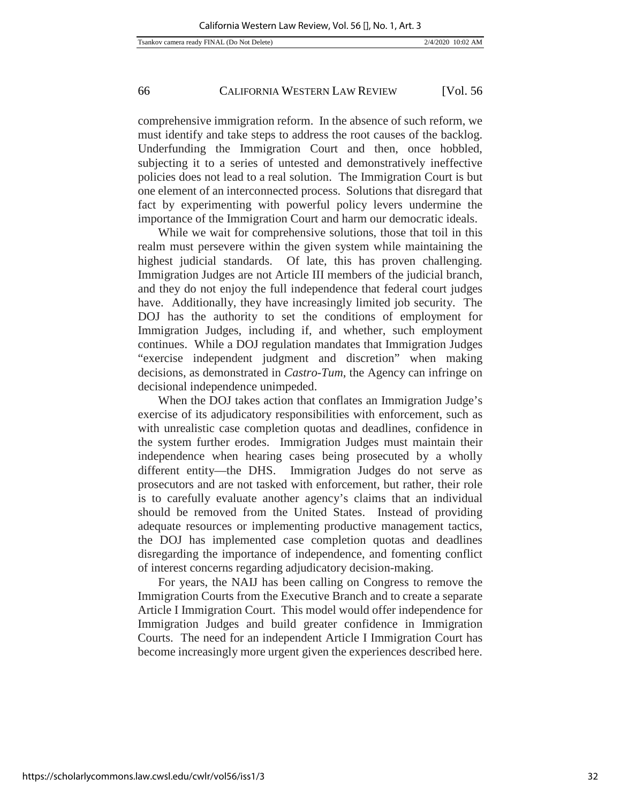comprehensive immigration reform. In the absence of such reform, we must identify and take steps to address the root causes of the backlog. Underfunding the Immigration Court and then, once hobbled, subjecting it to a series of untested and demonstratively ineffective policies does not lead to a real solution. The Immigration Court is but one element of an interconnected process. Solutions that disregard that fact by experimenting with powerful policy levers undermine the importance of the Immigration Court and harm our democratic ideals.

While we wait for comprehensive solutions, those that toil in this realm must persevere within the given system while maintaining the highest judicial standards. Of late, this has proven challenging. Immigration Judges are not Article III members of the judicial branch, and they do not enjoy the full independence that federal court judges have. Additionally, they have increasingly limited job security. The DOJ has the authority to set the conditions of employment for Immigration Judges, including if, and whether, such employment continues. While a DOJ regulation mandates that Immigration Judges "exercise independent judgment and discretion" when making decisions, as demonstrated in *Castro-Tum*, the Agency can infringe on decisional independence unimpeded.

When the DOJ takes action that conflates an Immigration Judge's exercise of its adjudicatory responsibilities with enforcement, such as with unrealistic case completion quotas and deadlines, confidence in the system further erodes. Immigration Judges must maintain their independence when hearing cases being prosecuted by a wholly different entity—the DHS. Immigration Judges do not serve as prosecutors and are not tasked with enforcement, but rather, their role is to carefully evaluate another agency's claims that an individual should be removed from the United States. Instead of providing adequate resources or implementing productive management tactics, the DOJ has implemented case completion quotas and deadlines disregarding the importance of independence, and fomenting conflict of interest concerns regarding adjudicatory decision-making.

For years, the NAIJ has been calling on Congress to remove the Immigration Courts from the Executive Branch and to create a separate Article I Immigration Court. This model would offer independence for Immigration Judges and build greater confidence in Immigration Courts. The need for an independent Article I Immigration Court has become increasingly more urgent given the experiences described here.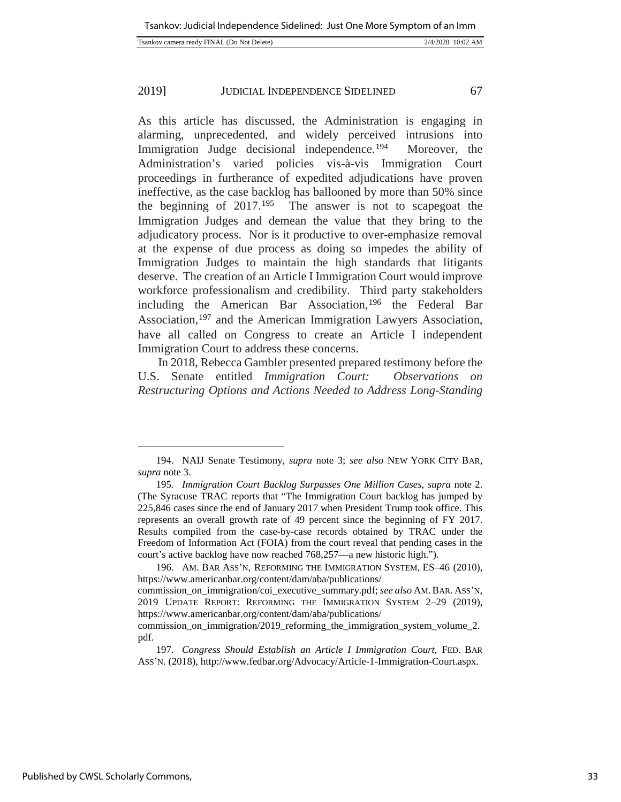| Tsankov camera ready FINAL (Do Not Delete) | 2/4/2020 10:02 AM |
|--------------------------------------------|-------------------|

As this article has discussed, the Administration is engaging in alarming, unprecedented, and widely perceived intrusions into Immigration Judge decisional independence.<sup>194</sup> Moreover, the Administration's varied policies vis-à-vis Immigration Court proceedings in furtherance of expedited adjudications have proven ineffective, as the case backlog has ballooned by more than 50% since the beginning of 2017.[195](#page-33-1) The answer is not to scapegoat the Immigration Judges and demean the value that they bring to the adjudicatory process. Nor is it productive to over-emphasize removal at the expense of due process as doing so impedes the ability of Immigration Judges to maintain the high standards that litigants deserve. The creation of an Article I Immigration Court would improve workforce professionalism and credibility. Third party stakeholders including the American Bar Association,[196](#page-33-2) the Federal Bar Association,<sup>[197](#page-33-3)</sup> and the American Immigration Lawyers Association, have all called on Congress to create an Article I independent Immigration Court to address these concerns.

In 2018, Rebecca Gambler presented prepared testimony before the U.S. Senate entitled *Immigration Court: Observations on Restructuring Options and Actions Needed to Address Long-Standing* 

j

<span id="page-33-0"></span><sup>194.</sup> NAIJ Senate Testimony, *supra* note 3; *see also* NEW YORK CITY BAR, *supra* note 3.

<span id="page-33-1"></span><sup>195</sup>*. Immigration Court Backlog Surpasses One Million Cases*, *supra* note 2. (The Syracuse TRAC reports that "The Immigration Court backlog has jumped by 225,846 cases since the end of January 2017 when President Trump took office. This represents an overall growth rate of 49 percent since the beginning of FY 2017. Results compiled from the case-by-case records obtained by TRAC under the Freedom of Information Act (FOIA) from the court reveal that pending cases in the court's active backlog have now reached 768,257—a new historic high.").

<span id="page-33-2"></span><sup>196.</sup> AM. BAR ASS'N, REFORMING THE IMMIGRATION SYSTEM, ES–46 (2010), https://www.americanbar.org/content/dam/aba/publications/

commission\_on\_immigration/coi\_executive\_summary.pdf; *see also* AM.BAR. ASS'N, 2019 UPDATE REPORT: REFORMING THE IMMIGRATION SYSTEM 2–29 (2019), https://www.americanbar.org/content/dam/aba/publications/

commission on immigration/2019 reforming the immigration system volume 2. pdf.

<span id="page-33-3"></span><sup>197</sup>*. Congress Should Establish an Article I Immigration Court,* FED. BAR ASS'N. (2018), [http://www.fedbar.org/Advocacy/Article-1-Immigration-Court.aspx.](http://www.fedbar.org/Advocacy/Article-1-Immigration-Court.aspx)